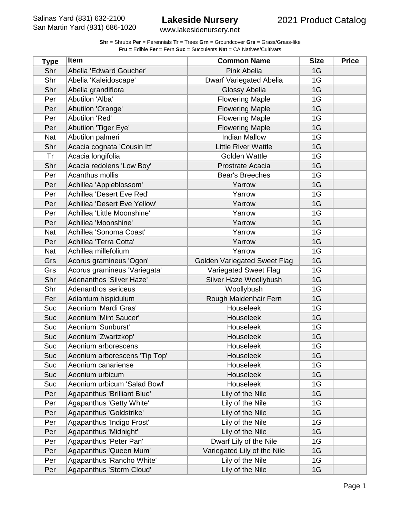www.lakesidenursery.net

| <b>Type</b> | <b>Item</b>                   | <b>Common Name</b>                  | <b>Size</b> | <b>Price</b> |
|-------------|-------------------------------|-------------------------------------|-------------|--------------|
| Shr         | Abelia 'Edward Goucher'       | <b>Pink Abelia</b>                  | 1G          |              |
| Shr         | Abelia 'Kaleidoscape'         | <b>Dwarf Variegated Abelia</b>      | 1G          |              |
| Shr         | Abelia grandiflora            | Glossy Abelia                       | 1G          |              |
| Per         | Abutilon 'Alba'               | <b>Flowering Maple</b>              | 1G          |              |
| Per         | Abutilon 'Orange'             | <b>Flowering Maple</b>              | 1G          |              |
| Per         | Abutilon 'Red'                | <b>Flowering Maple</b>              | 1G          |              |
| Per         | Abutilon 'Tiger Eye'          | <b>Flowering Maple</b>              | 1G          |              |
| Nat         | Abutilon palmeri              | <b>Indian Mallow</b>                | 1G          |              |
| Shr         | Acacia cognata 'Cousin Itt'   | <b>Little River Wattle</b>          | 1G          |              |
| Tr          | Acacia longifolia             | <b>Golden Wattle</b>                | 1G          |              |
| Shr         | Acacia redolens 'Low Boy'     | Prostrate Acacia                    | 1G          |              |
| Per         | Acanthus mollis               | <b>Bear's Breeches</b>              | 1G          |              |
| Per         | Achillea 'Appleblossom'       | Yarrow                              | 1G          |              |
| Per         | Achillea 'Desert Eve Red'     | Yarrow                              | 1G          |              |
| Per         | Achillea 'Desert Eve Yellow'  | Yarrow                              | 1G          |              |
| Per         | Achillea 'Little Moonshine'   | Yarrow                              | 1G          |              |
| Per         | Achillea 'Moonshine'          | Yarrow                              | 1G          |              |
| Nat         | Achillea 'Sonoma Coast'       | Yarrow                              | 1G          |              |
| Per         | Achillea 'Terra Cotta'        | Yarrow                              | 1G          |              |
| Nat         | Achillea millefolium          | Yarrow                              | 1G          |              |
| Grs         | Acorus gramineus 'Ogon'       | <b>Golden Variegated Sweet Flag</b> | 1G          |              |
| Grs         | Acorus gramineus 'Variegata'  | Variegated Sweet Flag               | 1G          |              |
| Shr         | Adenanthos 'Silver Haze'      | Silver Haze Woollybush              | 1G          |              |
| Shr         | Adenanthos sericeus           | Woollybush                          | 1G          |              |
| Fer         | Adiantum hispidulum           | Rough Maidenhair Fern               | 1G          |              |
| Suc         | Aeonium 'Mardi Gras'          | Houseleek                           | 1G          |              |
| Suc         | Aeonium 'Mint Saucer'         | Houseleek                           | 1G          |              |
| Suc         | Aeonium 'Sunburst'            | Houseleek                           | 1G          |              |
| Suc         | Aeonium 'Zwartzkop'           | Houseleek                           | 1G          |              |
| Suc         | Aeonium arborescens           | Houseleek                           | 1G          |              |
| <b>Suc</b>  | Aeonium arborescens 'Tip Top' | Houseleek                           | 1G          |              |
| Suc         | Aeonium canariense            | Houseleek                           | 1G          |              |
| Suc         | Aeonium urbicum               | Houseleek                           | 1G          |              |
| Suc         | Aeonium urbicum 'Salad Bowl'  | Houseleek                           | 1G          |              |
| Per         | Agapanthus 'Brilliant Blue'   | Lily of the Nile                    | 1G          |              |
| Per         | Agapanthus 'Getty White'      | Lily of the Nile                    | 1G          |              |
| Per         | Agapanthus 'Goldstrike'       | Lily of the Nile                    | 1G          |              |
| Per         | Agapanthus 'Indigo Frost'     | Lily of the Nile                    | 1G          |              |
| Per         | Agapanthus 'Midnight'         | Lily of the Nile                    | 1G          |              |
| Per         | Agapanthus 'Peter Pan'        | Dwarf Lily of the Nile              | 1G          |              |
| Per         | Agapanthus 'Queen Mum'        | Variegated Lily of the Nile         | 1G          |              |
| Per         | Agapanthus 'Rancho White'     | Lily of the Nile                    | 1G          |              |
| Per         | Agapanthus 'Storm Cloud'      | Lily of the Nile                    | 1G          |              |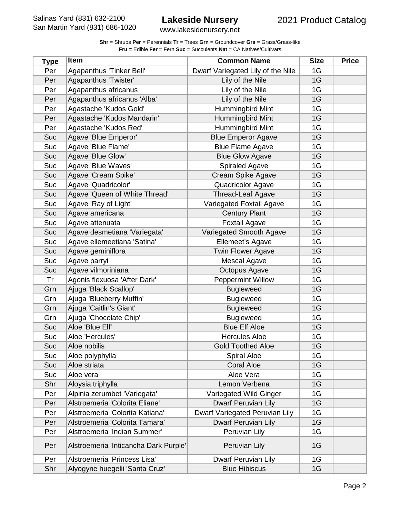www.lakesidenursery.net

| <b>Type</b> | Item                                  | <b>Common Name</b>                | <b>Size</b> | <b>Price</b> |
|-------------|---------------------------------------|-----------------------------------|-------------|--------------|
| Per         | Agapanthus 'Tinker Bell'              | Dwarf Variegated Lily of the Nile | 1G          |              |
| Per         | Agapanthus 'Twister'                  | Lily of the Nile                  | 1G          |              |
| Per         | Agapanthus africanus                  | Lily of the Nile                  | 1G          |              |
| Per         | Agapanthus africanus 'Alba'           | Lily of the Nile                  | 1G          |              |
| Per         | Agastache 'Kudos Gold'                | Hummingbird Mint                  | 1G          |              |
| Per         | Agastache 'Kudos Mandarin'            | Hummingbird Mint                  | 1G          |              |
| Per         | Agastache 'Kudos Red'                 | Hummingbird Mint                  | 1G          |              |
| Suc         | Agave 'Blue Emperor'                  | <b>Blue Emperor Agave</b>         | 1G          |              |
| Suc         | Agave 'Blue Flame'                    | <b>Blue Flame Agave</b>           | 1G          |              |
| Suc         | Agave 'Blue Glow'                     | <b>Blue Glow Agave</b>            | 1G          |              |
| Suc         | Agave 'Blue Waves'                    | <b>Spiraled Agave</b>             | 1G          |              |
| Suc         | Agave 'Cream Spike'                   | Cream Spike Agave                 | 1G          |              |
| Suc         | Agave 'Quadricolor'                   | Quadricolor Agave                 | 1G          |              |
| Suc         | Agave 'Queen of White Thread'         | <b>Thread-Leaf Agave</b>          | 1G          |              |
| Suc         | Agave 'Ray of Light'                  | Variegated Foxtail Agave          | 1G          |              |
| Suc         | Agave americana                       | <b>Century Plant</b>              | 1G          |              |
| Suc         | Agave attenuata                       | <b>Foxtail Agave</b>              | 1G          |              |
| Suc         | Agave desmetiana 'Variegata'          | Variegated Smooth Agave           | 1G          |              |
| Suc         | Agave ellemeetiana 'Satina'           | Ellemeet's Agave                  | 1G          |              |
| Suc         | Agave geminiflora                     | <b>Twin Flower Agave</b>          | 1G          |              |
| Suc         | Agave parryi                          | Mescal Agave                      | 1G          |              |
| Suc         | Agave vilmoriniana                    | Octopus Agave                     | 1G          |              |
| Tr          | Agonis flexuosa 'After Dark'          | <b>Peppermint Willow</b>          | 1G          |              |
| Grn         | Ajuga 'Black Scallop'                 | <b>Bugleweed</b>                  | 1G          |              |
| Grn         | Ajuga 'Blueberry Muffin'              | <b>Bugleweed</b>                  | 1G          |              |
| Grn         | Ajuga 'Caitlin's Giant'               | <b>Bugleweed</b>                  | 1G          |              |
| Grn         | Ajuga 'Chocolate Chip'                | <b>Bugleweed</b>                  | 1G          |              |
| Suc         | Aloe 'Blue Elf'                       | <b>Blue Elf Aloe</b>              | 1G          |              |
| Suc         | Aloe 'Hercules'                       | <b>Hercules Aloe</b>              | 1G          |              |
| Suc         | Aloe nobilis                          | <b>Gold Toothed Aloe</b>          | 1G          |              |
| Suc         | Aloe polyphylla                       | Spiral Aloe                       | 1G          |              |
| Suc         | Aloe striata                          | <b>Coral Aloe</b>                 | 1G          |              |
| Suc         | Aloe vera                             | Aloe Vera                         | 1G          |              |
| Shr         | Aloysia triphylla                     | Lemon Verbena                     | 1G          |              |
| Per         | Alpinia zerumbet 'Variegata'          | Variegated Wild Ginger            | 1G          |              |
| Per         | Alstroemeria 'Colorita Eliane'        | Dwarf Peruvian Lily               | 1G          |              |
| Per         | Alstroemeria 'Colorita Katiana'       | Dwarf Variegated Peruvian Lily    | 1G          |              |
| Per         | Alstroemeria 'Colorita Tamara'        | Dwarf Peruvian Lily               | 1G          |              |
| Per         | Alstroemeria 'Indian Summer'          | Peruvian Lily                     | 1G          |              |
| Per         | Alstroemeria 'Inticancha Dark Purple' | Peruvian Lily                     | 1G          |              |
| Per         | Alstroemeria 'Princess Lisa'          | Dwarf Peruvian Lily               | 1G          |              |
| Shr         | Alyogyne huegelii 'Santa Cruz'        | <b>Blue Hibiscus</b>              | 1G          |              |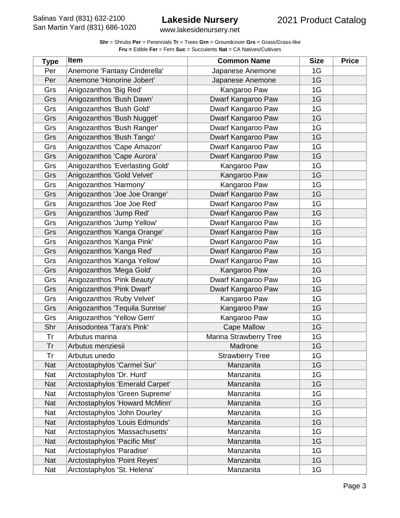| <b>Shr</b> = Shrubs <b>Per</b> = Perennials <b>Tr</b> = Trees Grn = Groundcover Grs = Grass/Grass-like |
|--------------------------------------------------------------------------------------------------------|
| <b>Fru = Edible Fer = Fern Suc = Succulents Nat = CA Natives/Cultivars</b>                             |

| <b>Type</b> | <b>Item</b>                     | <b>Common Name</b>     | <b>Size</b> | <b>Price</b> |
|-------------|---------------------------------|------------------------|-------------|--------------|
| Per         | Anemone 'Fantasy Cinderella'    | Japanese Anemone       | 1G          |              |
| Per         | Anemone 'Honorine Jobert'       | Japanese Anemone       | 1G          |              |
| Grs         | Anigozanthos 'Big Red'          | Kangaroo Paw           | 1G          |              |
| Grs         | Anigozanthos 'Bush Dawn'        | Dwarf Kangaroo Paw     | 1G          |              |
| Grs         | Anigozanthos 'Bush Gold'        | Dwarf Kangaroo Paw     | 1G          |              |
| Grs         | Anigozanthos 'Bush Nugget'      | Dwarf Kangaroo Paw     | 1G          |              |
| Grs         | Anigozanthos 'Bush Ranger'      | Dwarf Kangaroo Paw     | 1G          |              |
| Grs         | Anigozanthos 'Bush Tango'       | Dwarf Kangaroo Paw     | 1G          |              |
| Grs         | Anigozanthos 'Cape Amazon'      | Dwarf Kangaroo Paw     | 1G          |              |
| Grs         | Anigozanthos 'Cape Aurora'      | Dwarf Kangaroo Paw     | 1G          |              |
| Grs         | Anigozanthos 'Everlasting Gold' | Kangaroo Paw           | 1G          |              |
| Grs         | Anigozanthos 'Gold Velvet'      | Kangaroo Paw           | 1G          |              |
| Grs         | Anigozanthos 'Harmony'          | Kangaroo Paw           | 1G          |              |
| Grs         | Anigozanthos 'Joe Joe Orange'   | Dwarf Kangaroo Paw     | 1G          |              |
| Grs         | Anigozanthos 'Joe Joe Red'      | Dwarf Kangaroo Paw     | 1G          |              |
| Grs         | Anigozanthos 'Jump Red'         | Dwarf Kangaroo Paw     | 1G          |              |
| Grs         | Anigozanthos 'Jump Yellow'      | Dwarf Kangaroo Paw     | 1G          |              |
| Grs         | Anigozanthos 'Kanga Orange'     | Dwarf Kangaroo Paw     | 1G          |              |
| Grs         | Anigozanthos 'Kanga Pink'       | Dwarf Kangaroo Paw     | 1G          |              |
| Grs         | Anigozanthos 'Kanga Red'        | Dwarf Kangaroo Paw     | 1G          |              |
| Grs         | Anigozanthos 'Kanga Yellow'     | Dwarf Kangaroo Paw     | 1G          |              |
| Grs         | Anigozanthos 'Mega Gold'        | Kangaroo Paw           | 1G          |              |
| Grs         | Anigozanthos 'Pink Beauty'      | Dwarf Kangaroo Paw     | 1G          |              |
| Grs         | Anigozanthos 'Pink Dwarf'       | Dwarf Kangaroo Paw     | 1G          |              |
| Grs         | Anigozanthos 'Ruby Velvet'      | Kangaroo Paw           | 1G          |              |
| Grs         | Anigozanthos 'Tequila Sunrise'  | Kangaroo Paw           | 1G          |              |
| Grs         | Anigozanthos 'Yellow Gem'       | Kangaroo Paw           | 1G          |              |
| Shr         | Anisodontea 'Tara's Pink'       | <b>Cape Mallow</b>     | 1G          |              |
| Tr          | Arbutus marina                  | Marina Strawberry Tree | 1G          |              |
| Tr          | Arbutus menziesii               | Madrone                | 1G          |              |
| Tr          | Arbutus unedo                   | <b>Strawberry Tree</b> | 1G          |              |
| <b>Nat</b>  | Arctostaphylos 'Carmel Sur'     | Manzanita              | 1G          |              |
| Nat         | Arctostaphylos 'Dr. Hurd'       | Manzanita              | 1G          |              |
| <b>Nat</b>  | Arctostaphylos 'Emerald Carpet' | Manzanita              | 1G          |              |
| Nat         | Arctostaphylos 'Green Supreme'  | Manzanita              | 1G          |              |
| Nat         | Arctostaphylos 'Howard McMinn'  | Manzanita              | 1G          |              |
| Nat         | Arctostaphylos 'John Dourley'   | Manzanita              | 1G          |              |
| <b>Nat</b>  | Arctostaphylos 'Louis Edmunds'  | Manzanita              | 1G          |              |
| Nat         | Arctostaphylos 'Massachusetts'  | Manzanita              | 1G          |              |
| Nat         | Arctostaphylos 'Pacific Mist'   | Manzanita              | 1G          |              |
| Nat         | Arctostaphylos 'Paradise'       | Manzanita              | 1G          |              |
| <b>Nat</b>  | Arctostaphylos 'Point Reyes'    | Manzanita              | 1G          |              |
| Nat         | Arctostaphylos 'St. Helena'     | Manzanita              | 1G          |              |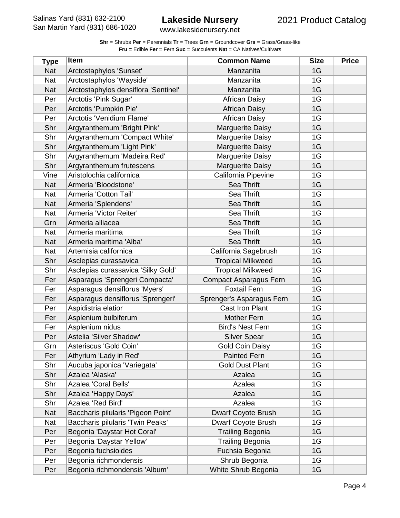www.lakesidenursery.net

| <b>Type</b> | Item                                 | <b>Common Name</b>            | <b>Size</b> | <b>Price</b> |
|-------------|--------------------------------------|-------------------------------|-------------|--------------|
| <b>Nat</b>  | Arctostaphylos 'Sunset'              | Manzanita                     | 1G          |              |
| <b>Nat</b>  | Arctostaphylos 'Wayside'             | Manzanita                     | 1G          |              |
| <b>Nat</b>  | Arctostaphylos densiflora 'Sentinel' | Manzanita                     | 1G          |              |
| Per         | Arctotis 'Pink Sugar'                | <b>African Daisy</b>          | 1G          |              |
| Per         | Arctotis 'Pumpkin Pie'               | <b>African Daisy</b>          | 1G          |              |
| Per         | Arctotis 'Venidium Flame'            | <b>African Daisy</b>          | 1G          |              |
| Shr         | Argyranthemum 'Bright Pink'          | <b>Marguerite Daisy</b>       | 1G          |              |
| Shr         | Argyranthemum 'Compact White'        | Marguerite Daisy              | 1G          |              |
| Shr         | Argyranthemum 'Light Pink'           | <b>Marguerite Daisy</b>       | 1G          |              |
| Shr         | Argyranthemum 'Madeira Red'          | Marguerite Daisy              | 1G          |              |
| Shr         | Argyranthemum frutescens             | <b>Marguerite Daisy</b>       | 1G          |              |
| Vine        | Aristolochia californica             | California Pipevine           | 1G          |              |
| <b>Nat</b>  | Armeria 'Bloodstone'                 | Sea Thrift                    | 1G          |              |
| <b>Nat</b>  | Armeria 'Cotton Tail'                | Sea Thrift                    | 1G          |              |
| <b>Nat</b>  | Armeria 'Splendens'                  | Sea Thrift                    | 1G          |              |
| Nat         | Armeria 'Victor Reiter'              | Sea Thrift                    | 1G          |              |
| Grn         | Armeria alliacea                     | Sea Thrift                    | 1G          |              |
| Nat         | Armeria maritima                     | Sea Thrift                    | 1G          |              |
| <b>Nat</b>  | Armeria maritima 'Alba'              | Sea Thrift                    | 1G          |              |
| Nat         | Artemisia californica                | California Sagebrush          | 1G          |              |
| Shr         | Asclepias curassavica                | <b>Tropical Milkweed</b>      | 1G          |              |
| Shr         | Asclepias curassavica 'Silky Gold'   | <b>Tropical Milkweed</b>      | 1G          |              |
| Fer         | Asparagus 'Sprengeri Compacta'       | <b>Compact Asparagus Fern</b> | 1G          |              |
| Fer         | Asparagus densiflorus 'Myers'        | <b>Foxtail Fern</b>           | 1G          |              |
| Fer         | Asparagus densiflorus 'Sprengeri'    | Sprenger's Asparagus Fern     | 1G          |              |
| Per         | Aspidistria elatior                  | <b>Cast Iron Plant</b>        | 1G          |              |
| Fer         | Asplenium bulbiferum                 | <b>Mother Fern</b>            | 1G          |              |
| Fer         | Asplenium nidus                      | <b>Bird's Nest Fern</b>       | 1G          |              |
| Per         | Astelia 'Silver Shadow'              | <b>Silver Spear</b>           | 1G          |              |
| Grn         | Asteriscus 'Gold Coin'               | <b>Gold Coin Daisy</b>        | 1G          |              |
| Fer         | Athyrium 'Lady in Red'               | <b>Painted Fern</b>           | 1G          |              |
| Shr         | Aucuba japonica 'Variegata'          | <b>Gold Dust Plant</b>        | 1G          |              |
| Shr         | Azalea 'Alaska'                      | Azalea                        | 1G          |              |
| Shr         | Azalea 'Coral Bells'                 | Azalea                        | 1G          |              |
| Shr         | Azalea 'Happy Days'                  | Azalea                        | 1G          |              |
| Shr         | Azalea 'Red Bird'                    | Azalea                        | 1G          |              |
| Nat         | Baccharis pilularis 'Pigeon Point'   | <b>Dwarf Coyote Brush</b>     | 1G          |              |
| Nat         | Baccharis pilularis 'Twin Peaks'     | Dwarf Coyote Brush            | 1G          |              |
| Per         | Begonia 'Daystar Hot Coral'          | <b>Trailing Begonia</b>       | 1G          |              |
| Per         | Begonia 'Daystar Yellow'             | <b>Trailing Begonia</b>       | 1G          |              |
| Per         | Begonia fuchsioides                  | Fuchsia Begonia               | 1G          |              |
| Per         | Begonia richmondensis                | Shrub Begonia                 | 1G          |              |
| Per         | Begonia richmondensis 'Album'        | White Shrub Begonia           | 1G          |              |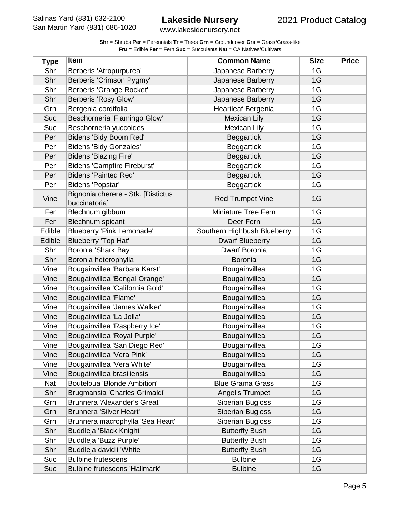www.lakesidenursery.net

| <b>Type</b> | <b>Item</b>                                         | <b>Common Name</b>          | <b>Size</b> | <b>Price</b> |
|-------------|-----------------------------------------------------|-----------------------------|-------------|--------------|
| Shr         | Berberis 'Atropurpurea'                             | Japanese Barberry           | 1G          |              |
| Shr         | Berberis 'Crimson Pygmy'                            | Japanese Barberry           | 1G          |              |
| Shr         | Berberis 'Orange Rocket'                            | Japanese Barberry           | 1G          |              |
| Shr         | Berberis 'Rosy Glow'                                | Japanese Barberry           | 1G          |              |
| Grn         | Bergenia cordifolia                                 | Heartleaf Bergenia          | 1G          |              |
| <b>Suc</b>  | Beschorneria 'Flamingo Glow'                        | <b>Mexican Lily</b>         | 1G          |              |
| Suc         | Beschorneria yuccoides                              | <b>Mexican Lily</b>         | 1G          |              |
| Per         | Bidens 'Bidy Boom Red'                              | <b>Beggartick</b>           | 1G          |              |
| Per         | <b>Bidens 'Bidy Gonzales'</b>                       | <b>Beggartick</b>           | 1G          |              |
| Per         | <b>Bidens 'Blazing Fire'</b>                        | <b>Beggartick</b>           | 1G          |              |
| Per         | <b>Bidens 'Campfire Fireburst'</b>                  | <b>Beggartick</b>           | 1G          |              |
| Per         | <b>Bidens 'Painted Red'</b>                         | <b>Beggartick</b>           | 1G          |              |
| Per         | Bidens 'Popstar'                                    | <b>Beggartick</b>           | 1G          |              |
| Vine        | Bignonia cherere - Stk. [Distictus<br>buccinatoria] | <b>Red Trumpet Vine</b>     | 1G          |              |
| Fer         | Blechnum gibbum                                     | Miniature Tree Fern         | 1G          |              |
| Fer         | <b>Blechnum</b> spicant                             | Deer Fern                   | 1G          |              |
| Edible      | <b>Blueberry 'Pink Lemonade'</b>                    | Southern Highbush Blueberry | 1G          |              |
| Edible      | Blueberry 'Top Hat'                                 | <b>Dwarf Blueberry</b>      | 1G          |              |
| Shr         | Boronia 'Shark Bay'                                 | Dwarf Boronia               | 1G          |              |
| Shr         | Boronia heterophylla                                | Boronia                     | 1G          |              |
| Vine        | Bougainvillea 'Barbara Karst'                       | Bougainvillea               | 1G          |              |
| Vine        | Bougainvillea 'Bengal Orange'                       | Bougainvillea               | 1G          |              |
| Vine        | Bougainvillea 'California Gold'                     | Bougainvillea               | 1G          |              |
| Vine        | Bougainvillea 'Flame'                               | Bougainvillea               | 1G          |              |
| Vine        | Bougainvillea 'James Walker'                        | Bougainvillea               | 1G          |              |
| Vine        | Bougainvillea 'La Jolla'                            | Bougainvillea               | 1G          |              |
| Vine        | Bougainvillea 'Raspberry Ice'                       | Bougainvillea               | 1G          |              |
| Vine        | Bougainvillea 'Royal Purple'                        | Bougainvillea               | 1G          |              |
| Vine        | Bougainvillea 'San Diego Red'                       | Bougainvillea               | 1G          |              |
| Vine        | Bougainvillea 'Vera Pink'                           | Bougainvillea               | 1G          |              |
| Vine        | Bougainvillea 'Vera White'                          | Bougainvillea               | 1G          |              |
| Vine        | Bougainvillea brasiliensis                          | Bougainvillea               | 1G          |              |
| Nat         | Bouteloua 'Blonde Ambition'                         | <b>Blue Grama Grass</b>     | 1G          |              |
| Shr         | Brugmansia 'Charles Grimaldi'                       | Angel's Trumpet             | 1G          |              |
| Grn         | Brunnera 'Alexander's Great'                        | Siberian Bugloss            | 1G          |              |
| Grn         | Brunnera 'Silver Heart'                             | Siberian Bugloss            | 1G          |              |
| Grn         | Brunnera macrophylla 'Sea Heart'                    | Siberian Bugloss            | 1G          |              |
| Shr         | Buddleja 'Black Knight'                             | <b>Butterfly Bush</b>       | 1G          |              |
| Shr         | Buddleja 'Buzz Purple'                              | <b>Butterfly Bush</b>       | 1G          |              |
| Shr         | Buddleja davidii 'White'                            | <b>Butterfly Bush</b>       | 1G          |              |
| Suc         | <b>Bulbine frutescens</b>                           | <b>Bulbine</b>              | 1G          |              |
| Suc         | <b>Bulbine frutescens 'Hallmark'</b>                | <b>Bulbine</b>              | 1G          |              |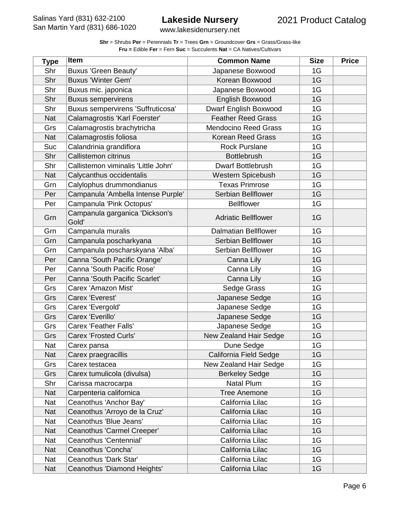www.lakesidenursery.net

| <b>Type</b> | <b>Item</b>                             | <b>Common Name</b>          | <b>Size</b> | <b>Price</b> |
|-------------|-----------------------------------------|-----------------------------|-------------|--------------|
| Shr         | Buxus 'Green Beauty'                    | Japanese Boxwood            | 1G          |              |
| Shr         | <b>Buxus 'Winter Gem'</b>               | Korean Boxwood              | 1G          |              |
| Shr         | Buxus mic. japonica                     | Japanese Boxwood            | 1G          |              |
| Shr         | <b>Buxus sempervirens</b>               | English Boxwood             | 1G          |              |
| Shr         | Buxus sempervirens 'Suffruticosa'       | Dwarf English Boxwood       | 1G          |              |
| <b>Nat</b>  | Calamagrostis 'Karl Foerster'           | <b>Feather Reed Grass</b>   | 1G          |              |
| Grs         | Calamagrostis brachytricha              | <b>Mendocino Reed Grass</b> | 1G          |              |
| <b>Nat</b>  | Calamagrostis foliosa                   | <b>Korean Reed Grass</b>    | 1G          |              |
| Suc         | Calandrinia grandiflora                 | <b>Rock Purslane</b>        | 1G          |              |
| Shr         | Callistemon citrinus                    | <b>Bottlebrush</b>          | 1G          |              |
| Shr         | Callistemon viminalis 'Little John'     | <b>Dwarf Bottlebrush</b>    | 1G          |              |
| <b>Nat</b>  | Calycanthus occidentalis                | Western Spicebush           | 1G          |              |
| Grn         | Calylophus drummondianus                | <b>Texas Primrose</b>       | 1G          |              |
| Per         | Campanula 'Ambella Intense Purple'      | Serbian Bellflower          | 1G          |              |
| Per         | Campanula 'Pink Octopus'                | <b>Bellflower</b>           | 1G          |              |
| Grn         | Campanula garganica 'Dickson's<br>Gold' | <b>Adriatic Bellflower</b>  | 1G          |              |
| Grn         | Campanula muralis                       | <b>Dalmatian Bellflower</b> | 1G          |              |
| Grn         | Campanula poscharkyana                  | Serbian Bellflower          | 1G          |              |
| Grn         | Campanula poscharskyana 'Alba'          | Serbian Bellflower          | 1G          |              |
| Per         | Canna 'South Pacific Orange'            | Canna Lily                  | 1G          |              |
| Per         | Canna 'South Pacific Rose'              | Canna Lily                  | 1G          |              |
| Per         | Canna 'South Pacific Scarlet'           | Canna Lily                  | 1G          |              |
| Grs         | Carex 'Amazon Mist'                     | Sedge Grass                 | 1G          |              |
| Grs         | Carex 'Everest'                         | Japanese Sedge              | 1G          |              |
| Grs         | Carex 'Evergold'                        | Japanese Sedge              | 1G          |              |
| Grs         | Carex 'Everillo'                        | Japanese Sedge              | 1G          |              |
| Grs         | Carex 'Feather Falls'                   | Japanese Sedge              | 1G          |              |
| Grs         | <b>Carex 'Frosted Curls'</b>            | New Zealand Hair Sedge      | 1G          |              |
| Nat         | Carex pansa                             | Dune Sedge                  | 1G          |              |
| <b>Nat</b>  | Carex praegracillis                     | California Field Sedge      | 1G          |              |
| Grs         | Carex testacea                          | New Zealand Hair Sedge      | 1G          |              |
| Grs         | Carex tumulicola (divulsa)              | <b>Berkeley Sedge</b>       | 1G          |              |
| Shr         | Carissa macrocarpa                      | Natal Plum                  | 1G          |              |
| Nat         | Carpenteria californica                 | <b>Tree Anemone</b>         | 1G          |              |
| Nat         | Ceanothus 'Anchor Bay'                  | California Lilac            | 1G          |              |
| <b>Nat</b>  | Ceanothus 'Arroyo de la Cruz'           | California Lilac            | 1G          |              |
| Nat         | Ceanothus 'Blue Jeans'                  | California Lilac            | 1G          |              |
| <b>Nat</b>  | Ceanothus 'Carmel Creeper'              | California Lilac            | 1G          |              |
| Nat         | Ceanothus 'Centennial'                  | California Lilac            | 1G          |              |
| Nat         | Ceanothus 'Concha'                      | California Lilac            | 1G          |              |
| Nat         | Ceanothus 'Dark Star'                   | California Lilac            | 1G          |              |
| Nat         | Ceanothus 'Diamond Heights'             | California Lilac            | 1G          |              |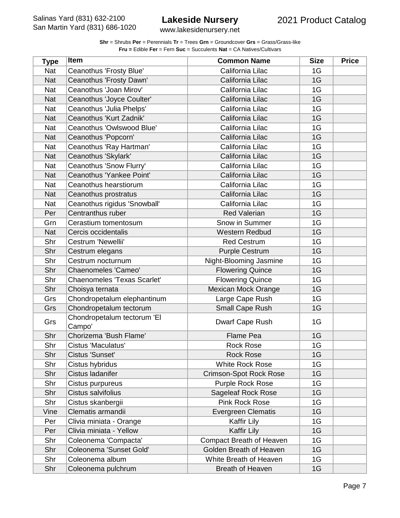www.lakesidenursery.net

| <b>Type</b> | Item                                  | <b>Common Name</b>              | <b>Size</b> | <b>Price</b> |
|-------------|---------------------------------------|---------------------------------|-------------|--------------|
| Nat         | Ceanothus 'Frosty Blue'               | California Lilac                | 1G          |              |
| <b>Nat</b>  | Ceanothus 'Frosty Dawn'               | California Lilac                | 1G          |              |
| <b>Nat</b>  | Ceanothus 'Joan Mirov'                | California Lilac                | 1G          |              |
| <b>Nat</b>  | Ceanothus 'Joyce Coulter'             | California Lilac                | 1G          |              |
| Nat         | Ceanothus 'Julia Phelps'              | California Lilac                | 1G          |              |
| <b>Nat</b>  | Ceanothus 'Kurt Zadnik'               | California Lilac                | 1G          |              |
| Nat         | Ceanothus 'Owlswood Blue'             | California Lilac                | 1G          |              |
| <b>Nat</b>  | Ceanothus 'Popcorn'                   | California Lilac                | 1G          |              |
| Nat         | Ceanothus 'Ray Hartman'               | California Lilac                | 1G          |              |
| <b>Nat</b>  | Ceanothus 'Skylark'                   | California Lilac                | 1G          |              |
| Nat         | Ceanothus 'Snow Flurry'               | California Lilac                | 1G          |              |
| <b>Nat</b>  | Ceanothus 'Yankee Point'              | California Lilac                | 1G          |              |
| Nat         | Ceanothus hearstiorum                 | California Lilac                | 1G          |              |
| <b>Nat</b>  | Ceanothus prostratus                  | California Lilac                | 1G          |              |
| Nat         | Ceanothus rigidus 'Snowball'          | California Lilac                | 1G          |              |
| Per         | Centranthus ruber                     | <b>Red Valerian</b>             | 1G          |              |
| Grn         | Cerastium tomentosum                  | Snow in Summer                  | 1G          |              |
| <b>Nat</b>  | Cercis occidentalis                   | <b>Western Redbud</b>           | 1G          |              |
| Shr         | Cestrum 'Newellii'                    | <b>Red Cestrum</b>              | 1G          |              |
| Shr         | Cestrum elegans                       | <b>Purple Cestrum</b>           | 1G          |              |
| Shr         | Cestrum nocturnum                     | Night-Blooming Jasmine          | 1G          |              |
| Shr         | Chaenomeles 'Cameo'                   | <b>Flowering Quince</b>         | 1G          |              |
| Shr         | <b>Chaenomeles 'Texas Scarlet'</b>    | <b>Flowering Quince</b>         | 1G          |              |
| Shr         | Choisya ternata                       | Mexican Mock Orange             | 1G          |              |
| Grs         | Chondropetalum elephantinum           | Large Cape Rush                 | 1G          |              |
| Grs         | Chondropetalum tectorum               | Small Cape Rush                 | 1G          |              |
| Grs         | Chondropetalum tectorum 'El<br>Campo' | Dwarf Cape Rush                 | 1G          |              |
| Shr         | Chorizema 'Bush Flame'                | <b>Flame Pea</b>                | 1G          |              |
| Shr         | Cistus 'Maculatus'                    | <b>Rock Rose</b>                | 1G          |              |
| Shr         | Cistus 'Sunset'                       | <b>Rock Rose</b>                | 1G          |              |
| Shr         | Cistus hybridus                       | <b>White Rock Rose</b>          | 1G          |              |
| Shr         | Cistus ladanifer                      | <b>Crimson-Spot Rock Rose</b>   | 1G          |              |
| Shr         | Cistus purpureus                      | Purple Rock Rose                | 1G          |              |
| Shr         | Cistus salvifolius                    | Sageleaf Rock Rose              | 1G          |              |
| Shr         | Cistus skanbergii                     | Pink Rock Rose                  | 1G          |              |
| Vine        | Clematis armandii                     | <b>Evergreen Clematis</b>       | 1G          |              |
| Per         | Clivia miniata - Orange               | Kaffir Lily                     | 1G          |              |
| Per         | Clivia miniata - Yellow               | Kaffir Lily                     | 1G          |              |
| Shr         | Coleonema 'Compacta'                  | <b>Compact Breath of Heaven</b> | 1G          |              |
| Shr         | Coleonema 'Sunset Gold'               | Golden Breath of Heaven         | 1G          |              |
| Shr         | Coleonema album                       | White Breath of Heaven          | 1G          |              |
| Shr         | Coleonema pulchrum                    | Breath of Heaven                | 1G          |              |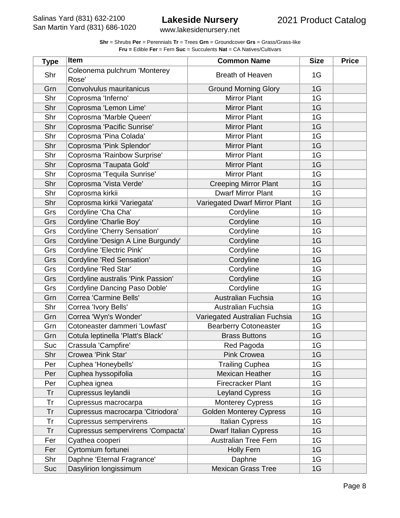| <b>Shr</b> = Shrubs <b>Per</b> = Perennials <b>Tr</b> = Trees Grn = Groundcover Grs = Grass/Grass-like |
|--------------------------------------------------------------------------------------------------------|
| <b>Fru = Edible Fer = Fern Suc = Succulents Nat = CA Natives/Cultivars</b>                             |

| <b>Type</b> | <b>Item</b>                           | <b>Common Name</b>             | <b>Size</b> | <b>Price</b> |
|-------------|---------------------------------------|--------------------------------|-------------|--------------|
| Shr         | Coleonema pulchrum 'Monterey<br>Rose' | <b>Breath of Heaven</b>        | 1G          |              |
| Grn         | Convolvulus mauritanicus              | <b>Ground Morning Glory</b>    | 1G          |              |
| Shr         | Coprosma 'Inferno'                    | <b>Mirror Plant</b>            | 1G          |              |
| Shr         | Coprosma 'Lemon Lime'                 | <b>Mirror Plant</b>            | 1G          |              |
| Shr         | Coprosma 'Marble Queen'               | <b>Mirror Plant</b>            | 1G          |              |
| Shr         | Coprosma 'Pacific Sunrise'            | <b>Mirror Plant</b>            | 1G          |              |
| Shr         | Coprosma 'Pina Colada'                | <b>Mirror Plant</b>            | 1G          |              |
| Shr         | Coprosma 'Pink Splendor'              | <b>Mirror Plant</b>            | 1G          |              |
| Shr         | Coprosma 'Rainbow Surprise'           | <b>Mirror Plant</b>            | 1G          |              |
| Shr         | Coprosma 'Taupata Gold'               | <b>Mirror Plant</b>            | 1G          |              |
| Shr         | Coprosma 'Tequila Sunrise'            | <b>Mirror Plant</b>            | 1G          |              |
| Shr         | Coprosma 'Vista Verde'                | <b>Creeping Mirror Plant</b>   | 1G          |              |
| Shr         | Coprosma kirkii                       | <b>Dwarf Mirror Plant</b>      | 1G          |              |
| Shr         | Coprosma kirkii 'Variegata'           | Variegated Dwarf Mirror Plant  | 1G          |              |
| Grs         | Cordyline 'Cha Cha'                   | Cordyline                      | 1G          |              |
| Grs         | Cordyline 'Charlie Boy'               | Cordyline                      | 1G          |              |
| Grs         | Cordyline 'Cherry Sensation'          | Cordyline                      | 1G          |              |
| Grs         | Cordyline 'Design A Line Burgundy'    | Cordyline                      | 1G          |              |
| Grs         | Cordyline 'Electric Pink'             | Cordyline                      | 1G          |              |
| Grs         | Cordyline 'Red Sensation'             | Cordyline                      | 1G          |              |
| Grs         | Cordyline 'Red Star'                  | Cordyline                      | 1G          |              |
| Grs         | Cordyline australis 'Pink Passion'    | Cordyline                      | 1G          |              |
| Grs         | Cordyline Dancing Paso Doble'         | Cordyline                      | 1G          |              |
| Grn         | Correa 'Carmine Bells'                | Australian Fuchsia             | 1G          |              |
| Shr         | Correa 'Ivory Bells'                  | Australian Fuchsia             | 1G          |              |
| Grn         | Correa 'Wyn's Wonder'                 | Variegated Australian Fuchsia  | 1G          |              |
| Grn         | Cotoneaster dammeri 'Lowfast'         | <b>Bearberry Cotoneaster</b>   | 1G          |              |
| Grn         | Cotula leptinella 'Platt's Black'     | <b>Brass Buttons</b>           | 1G          |              |
| Suc         | Crassula 'Campfire'                   | Red Pagoda                     | 1G          |              |
| Shr         | Crowea 'Pink Star'                    | Pink Crowea                    | 1G          |              |
| Per         | Cuphea 'Honeybells'                   | <b>Trailing Cuphea</b>         | 1G          |              |
| Per         | Cuphea hyssopifolia                   | <b>Mexican Heather</b>         | 1G          |              |
| Per         | Cuphea ignea                          | <b>Firecracker Plant</b>       | 1G          |              |
| Tr          | Cupressus leylandii                   | <b>Leyland Cypress</b>         | 1G          |              |
| Tr          | Cupressus macrocarpa                  | <b>Monterey Cypress</b>        | 1G          |              |
| Tr          | Cupressus macrocarpa 'Citriodora'     | <b>Golden Monterey Cypress</b> | 1G          |              |
| Tr          | <b>Cupressus sempervirens</b>         | Italian Cypress                | 1G          |              |
| Tr          | Cupressus sempervirens 'Compacta'     | <b>Dwarf Italian Cypress</b>   | 1G          |              |
| Fer         | Cyathea cooperi                       | <b>Australian Tree Fern</b>    | 1G          |              |
| Fer         | Cyrtomium fortunei                    | <b>Holly Fern</b>              | 1G          |              |
| Shr         | Daphne 'Eternal Fragrance'            | Daphne                         | 1G          |              |
| Suc         | Dasylirion longissimum                | <b>Mexican Grass Tree</b>      | 1G          |              |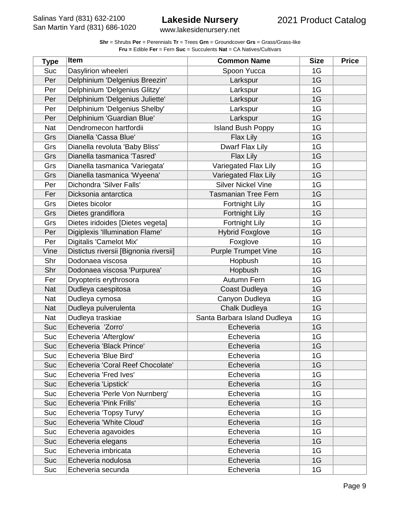www.lakesidenursery.net

| <b>Type</b> | <b>Item</b>                            | <b>Common Name</b>           | <b>Size</b> | <b>Price</b> |
|-------------|----------------------------------------|------------------------------|-------------|--------------|
| Suc         | Dasylirion wheeleri                    | Spoon Yucca                  | 1G          |              |
| Per         | Delphinium 'Delgenius Breezin'         | Larkspur                     | 1G          |              |
| Per         | Delphinium 'Delgenius Glitzy'          | Larkspur                     | 1G          |              |
| Per         | Delphinium 'Delgenius Juliette'        | Larkspur                     | 1G          |              |
| Per         | Delphinium 'Delgenius Shelby'          | Larkspur                     | 1G          |              |
| Per         | Delphinium 'Guardian Blue'             | Larkspur                     | 1G          |              |
| Nat         | Dendromecon hartfordii                 | <b>Island Bush Poppy</b>     | 1G          |              |
| Grs         | Dianella 'Cassa Blue'                  | Flax Lily                    | 1G          |              |
| Grs         | Dianella revoluta 'Baby Bliss'         | Dwarf Flax Lily              | 1G          |              |
| Grs         | Dianella tasmanica 'Tasred'            | Flax Lily                    | 1G          |              |
| Grs         | Dianella tasmanica 'Variegata'         | Variegated Flax Lily         | 1G          |              |
| Grs         | Dianella tasmanica 'Wyeena'            | Variegated Flax Lily         | 1G          |              |
| Per         | Dichondra 'Silver Falls'               | <b>Silver Nickel Vine</b>    | 1G          |              |
| Fer         | Dicksonia antarctica                   | <b>Tasmanian Tree Fern</b>   | 1G          |              |
| Grs         | Dietes bicolor                         | <b>Fortnight Lily</b>        | 1G          |              |
| Grs         | Dietes grandiflora                     | <b>Fortnight Lily</b>        | 1G          |              |
| Grs         | Dietes iridoides [Dietes vegeta]       | Fortnight Lily               | 1G          |              |
| Per         | Digiplexis 'Illumination Flame'        | <b>Hybrid Foxglove</b>       | 1G          |              |
| Per         | Digitalis 'Camelot Mix'                | Foxglove                     | 1G          |              |
| Vine        | Distictus riversii [Bignonia riversii] | <b>Purple Trumpet Vine</b>   | 1G          |              |
| Shr         | Dodonaea viscosa                       | Hopbush                      | 1G          |              |
| Shr         | Dodonaea viscosa 'Purpurea'            | Hopbush                      | 1G          |              |
| Fer         | Dryopteris erythrosora                 | Autumn Fern                  | 1G          |              |
| <b>Nat</b>  | Dudleya caespitosa                     | Coast Dudleya                | 1G          |              |
| Nat         | Dudleya cymosa                         | Canyon Dudleya               | 1G          |              |
| <b>Nat</b>  | Dudleya pulverulenta                   | Chalk Dudleya                | 1G          |              |
| Nat         | Dudleya traskiae                       | Santa Barbara Island Dudleya | 1G          |              |
| Suc         | Echeveria 'Zorro'                      | Echeveria                    | 1G          |              |
| Suc         | Echeveria 'Afterglow'                  | Echeveria                    | 1G          |              |
| Suc         | Echeveria 'Black Prince'               | Echeveria                    | 1G          |              |
| Suc         | Echeveria 'Blue Bird'                  | Echeveria                    | 1G          |              |
| Suc         | Echeveria 'Coral Reef Chocolate'       | Echeveria                    | 1G          |              |
| Suc         | Echeveria 'Fred Ives'                  | Echeveria                    | 1G          |              |
| Suc         | Echeveria 'Lipstick'                   | Echeveria                    | 1G          |              |
| Suc         | Echeveria 'Perle Von Nurnberg'         | Echeveria                    | 1G          |              |
| Suc         | Echeveria 'Pink Frills'                | Echeveria                    | 1G          |              |
| Suc         | Echeveria 'Topsy Turvy'                | Echeveria                    | 1G          |              |
| Suc         | Echeveria 'White Cloud'                | Echeveria                    | 1G          |              |
| Suc         | Echeveria agavoides                    | Echeveria                    | 1G          |              |
| Suc         | Echeveria elegans                      | Echeveria                    | 1G          |              |
| Suc         | Echeveria imbricata                    | Echeveria                    | 1G          |              |
| Suc         | Echeveria nodulosa                     | Echeveria                    | 1G          |              |
| Suc         | Echeveria secunda                      | Echeveria                    | 1G          |              |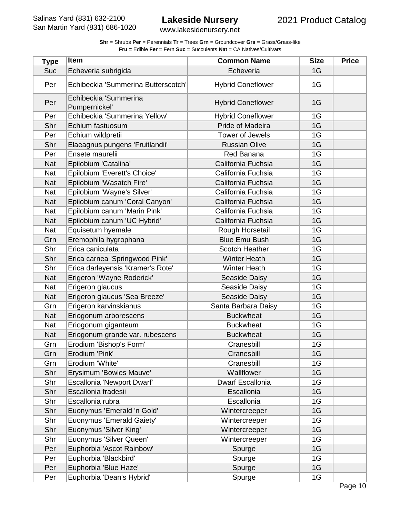| <b>Shr</b> = Shrubs <b>Per</b> = Perennials <b>Tr</b> = Trees <b>Grn</b> = Groundcover <b>Grs</b> = Grass/Grass-like |
|----------------------------------------------------------------------------------------------------------------------|
| <b>Fru = Edible Fer = Fern Suc = Succulents Nat = CA Natives/Cultivars</b>                                           |

| <b>Type</b> | <b>Item</b>                            | <b>Common Name</b>       | <b>Size</b> | <b>Price</b> |
|-------------|----------------------------------------|--------------------------|-------------|--------------|
| Suc         | Echeveria subrigida                    | Echeveria                | 1G          |              |
| Per         | Echibeckia 'Summerina Butterscotch'    | <b>Hybrid Coneflower</b> | 1G          |              |
| Per         | Echibeckia 'Summerina<br>Pumpernickel' | <b>Hybrid Coneflower</b> | 1G          |              |
| Per         | Echibeckia 'Summerina Yellow'          | <b>Hybrid Coneflower</b> | 1G          |              |
| Shr         | Echium fastuosum                       | <b>Pride of Madeira</b>  | 1G          |              |
| Per         | Echium wildpretii                      | Tower of Jewels          | 1G          |              |
| Shr         | Elaeagnus pungens 'Fruitlandii'        | <b>Russian Olive</b>     | 1G          |              |
| Per         | Ensete maurelii                        | Red Banana               | 1G          |              |
| <b>Nat</b>  | Epilobium 'Catalina'                   | California Fuchsia       | 1G          |              |
| Nat         | Epilobium 'Everett's Choice'           | California Fuchsia       | 1G          |              |
| <b>Nat</b>  | Epilobium 'Wasatch Fire'               | California Fuchsia       | 1G          |              |
| <b>Nat</b>  | Epilobium 'Wayne's Silver'             | California Fuchsia       | 1G          |              |
| <b>Nat</b>  | Epilobium canum 'Coral Canyon'         | California Fuchsia       | 1G          |              |
| Nat         | Epilobium canum 'Marin Pink'           | California Fuchsia       | 1G          |              |
| <b>Nat</b>  | Epilobium canum 'UC Hybrid'            | California Fuchsia       | 1G          |              |
| <b>Nat</b>  | Equisetum hyemale                      | Rough Horsetail          | 1G          |              |
| Grn         | Eremophila hygrophana                  | <b>Blue Emu Bush</b>     | 1G          |              |
| Shr         | Erica caniculata                       | <b>Scotch Heather</b>    | 1G          |              |
| Shr         | Erica carnea 'Springwood Pink'         | <b>Winter Heath</b>      | 1G          |              |
| Shr         | Erica darleyensis 'Kramer's Rote'      | <b>Winter Heath</b>      | 1G          |              |
| <b>Nat</b>  | Erigeron 'Wayne Roderick'              | Seaside Daisy            | 1G          |              |
| <b>Nat</b>  | Erigeron glaucus                       | Seaside Daisy            | 1G          |              |
| <b>Nat</b>  | Erigeron glaucus 'Sea Breeze'          | Seaside Daisy            | 1G          |              |
| Grn         | Erigeron karvinskianus                 | Santa Barbara Daisy      | 1G          |              |
| <b>Nat</b>  | Eriogonum arborescens                  | <b>Buckwheat</b>         | 1G          |              |
| Nat         | Eriogonum giganteum                    | <b>Buckwheat</b>         | 1G          |              |
| <b>Nat</b>  | Eriogonum grande var. rubescens        | <b>Buckwheat</b>         | 1G          |              |
| Grn         | Erodium 'Bishop's Form'                | Cranesbill               | 1G          |              |
| Grn         | Erodium 'Pink'                         | Cranesbill               | 1G          |              |
| Grn         | Erodium 'White'                        | Cranesbill               | 1G          |              |
| Shr         | Erysimum 'Bowles Mauve'                | Wallflower               | 1G          |              |
| Shr         | Escallonia 'Newport Dwarf'             | Dwarf Escallonia         | 1G          |              |
| Shr         | Escallonia fradesii                    | Escallonia               | 1G          |              |
| Shr         | Escallonia rubra                       | Escallonia               | 1G          |              |
| Shr         | Euonymus 'Emerald 'n Gold'             | Wintercreeper            | 1G          |              |
| Shr         | Euonymus 'Emerald Gaiety'              | Wintercreeper            | 1G          |              |
| Shr         | Euonymus 'Silver King'                 | Wintercreeper            | 1G          |              |
| Shr         | Euonymus 'Silver Queen'                | Wintercreeper            | 1G          |              |
| Per         | Euphorbia 'Ascot Rainbow'              | Spurge                   | 1G          |              |
| Per         | Euphorbia 'Blackbird'                  | Spurge                   | 1G          |              |
| Per         | Euphorbia 'Blue Haze'                  | Spurge                   | 1G          |              |
| Per         | Euphorbia 'Dean's Hybrid'              | Spurge                   | 1G          |              |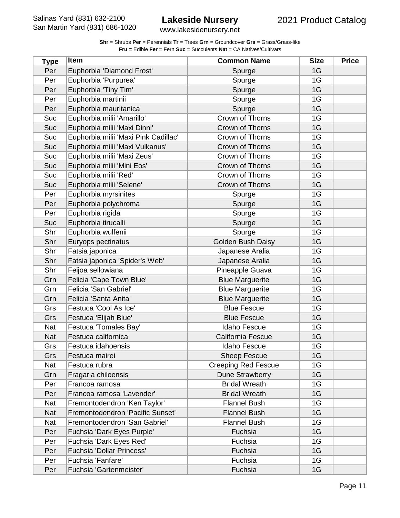www.lakesidenursery.net

| <b>Type</b> | <b>Item</b>                          | <b>Common Name</b>         | <b>Size</b> | <b>Price</b> |
|-------------|--------------------------------------|----------------------------|-------------|--------------|
| Per         | Euphorbia 'Diamond Frost'            | Spurge                     | 1G          |              |
| Per         | Euphorbia 'Purpurea'                 | Spurge                     | 1G          |              |
| Per         | Euphorbia 'Tiny Tim'                 | Spurge                     | 1G          |              |
| Per         | Euphorbia martinii                   | Spurge                     | 1G          |              |
| Per         | Euphorbia mauritanica                | Spurge                     | 1G          |              |
| Suc         | Euphorbia milii 'Amarillo'           | Crown of Thorns            | 1G          |              |
| Suc         | Euphorbia milii 'Maxi Dinni'         | Crown of Thorns            | 1G          |              |
| Suc         | Euphorbia milii 'Maxi Pink Cadillac' | Crown of Thorns            | 1G          |              |
| Suc         | Euphorbia milii 'Maxi Vulkanus'      | Crown of Thorns            | 1G          |              |
| Suc         | Euphorbia milii 'Maxi Zeus'          | Crown of Thorns            | 1G          |              |
| <b>Suc</b>  | Euphorbia milii 'Mini Eos'           | Crown of Thorns            | 1G          |              |
| Suc         | Euphorbia milii 'Red'                | Crown of Thorns            | 1G          |              |
| Suc         | Euphorbia milii 'Selene'             | Crown of Thorns            | 1G          |              |
| Per         | Euphorbia myrsinites                 | Spurge                     | 1G          |              |
| Per         | Euphorbia polychroma                 | Spurge                     | 1G          |              |
| Per         | Euphorbia rigida                     | Spurge                     | 1G          |              |
| <b>Suc</b>  | Euphorbia tirucalli                  | Spurge                     | 1G          |              |
| Shr         | Euphorbia wulfenii                   | Spurge                     | 1G          |              |
| Shr         | Euryops pectinatus                   | Golden Bush Daisy          | 1G          |              |
| Shr         | Fatsia japonica                      | Japanese Aralia            | 1G          |              |
| Shr         | Fatsia japonica 'Spider's Web'       | Japanese Aralia            | 1G          |              |
| Shr         | Feijoa sellowiana                    | Pineapple Guava            | 1G          |              |
| Grn         | Felicia 'Cape Town Blue'             | <b>Blue Marguerite</b>     | 1G          |              |
| Grn         | Felicia 'San Gabriel'                | <b>Blue Marguerite</b>     | 1G          |              |
| Grn         | Felicia 'Santa Anita'                | <b>Blue Marguerite</b>     | 1G          |              |
| Grs         | Festuca 'Cool As Ice'                | <b>Blue Fescue</b>         | 1G          |              |
| Grs         | Festuca 'Elijah Blue'                | <b>Blue Fescue</b>         | 1G          |              |
| Nat         | Festuca 'Tomales Bay'                | <b>Idaho Fescue</b>        | 1G          |              |
| <b>Nat</b>  | Festuca californica                  | California Fescue          | 1G          |              |
| Grs         | Festuca idahoensis                   | Idaho Fescue               | 1G          |              |
| Grs         | Festuca mairei                       | <b>Sheep Fescue</b>        | 1G          |              |
| Nat         | Festuca rubra                        | <b>Creeping Red Fescue</b> | 1G          |              |
| Grn         | Fragaria chiloensis                  | Dune Strawberry            | 1G          |              |
| Per         | Francoa ramosa                       | <b>Bridal Wreath</b>       | 1G          |              |
| Per         | Francoa ramosa 'Lavender'            | <b>Bridal Wreath</b>       | 1G          |              |
| Nat         | Fremontodendron 'Ken Taylor'         | <b>Flannel Bush</b>        | 1G          |              |
| <b>Nat</b>  | Fremontodendron 'Pacific Sunset'     | <b>Flannel Bush</b>        | 1G          |              |
| Nat         | Fremontodendron 'San Gabriel'        | <b>Flannel Bush</b>        | 1G          |              |
| Per         | Fuchsia 'Dark Eyes Purple'           | Fuchsia                    | 1G          |              |
| Per         | Fuchsia 'Dark Eyes Red'              | Fuchsia                    | 1G          |              |
| Per         | Fuchsia 'Dollar Princess'            | Fuchsia                    | 1G          |              |
| Per         | Fuchsia 'Fanfare'                    | Fuchsia                    | 1G          |              |
| Per         | Fuchsia 'Gartenmeister'              | Fuchsia                    | 1G          |              |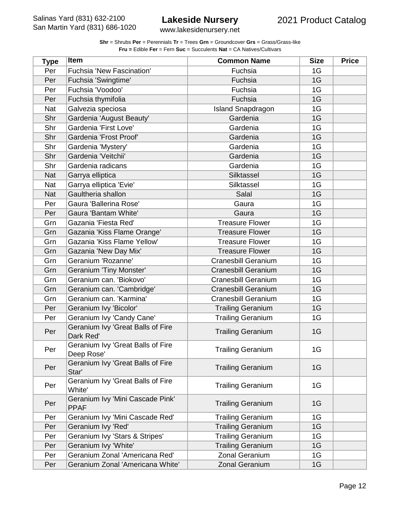www.lakesidenursery.net

| <b>Type</b> | <b>Item</b>                                     | <b>Common Name</b>         | <b>Size</b> | <b>Price</b> |
|-------------|-------------------------------------------------|----------------------------|-------------|--------------|
| Per         | Fuchsia 'New Fascination'                       | Fuchsia                    | 1G          |              |
| Per         | Fuchsia 'Swingtime'                             | Fuchsia                    | 1G          |              |
| Per         | Fuchsia 'Voodoo'                                | Fuchsia                    | 1G          |              |
| Per         | Fuchsia thymifolia                              | Fuchsia                    | 1G          |              |
| <b>Nat</b>  | Galvezia speciosa                               | <b>Island Snapdragon</b>   | 1G          |              |
| Shr         | Gardenia 'August Beauty'                        | Gardenia                   | 1G          |              |
| Shr         | Gardenia 'First Love'                           | Gardenia                   | 1G          |              |
| Shr         | Gardenia 'Frost Proof'                          | Gardenia                   | 1G          |              |
| Shr         | Gardenia 'Mystery'                              | Gardenia                   | 1G          |              |
| Shr         | Gardenia 'Veitchii'                             | Gardenia                   | 1G          |              |
| Shr         | Gardenia radicans                               | Gardenia                   | 1G          |              |
| <b>Nat</b>  | Garrya elliptica                                | Silktassel                 | 1G          |              |
| <b>Nat</b>  | Garrya elliptica 'Evie'                         | Silktassel                 | 1G          |              |
| <b>Nat</b>  | Gaultheria shallon                              | Salal                      | 1G          |              |
| Per         | Gaura 'Ballerina Rose'                          | Gaura                      | 1G          |              |
| Per         | Gaura 'Bantam White'                            | Gaura                      | 1G          |              |
| Grn         | Gazania 'Fiesta Red'                            | <b>Treasure Flower</b>     | 1G          |              |
| Grn         | Gazania 'Kiss Flame Orange'                     | <b>Treasure Flower</b>     | 1G          |              |
| Grn         | Gazania 'Kiss Flame Yellow'                     | <b>Treasure Flower</b>     | 1G          |              |
| Grn         | Gazania 'New Day Mix'                           | <b>Treasure Flower</b>     | 1G          |              |
| Grn         | Geranium 'Rozanne'                              | <b>Cranesbill Geranium</b> | 1G          |              |
| Grn         | Geranium 'Tiny Monster'                         | <b>Cranesbill Geranium</b> | 1G          |              |
| Grn         | Geranium can. 'Biokovo'                         | <b>Cranesbill Geranium</b> | 1G          |              |
| Grn         | Geranium can. 'Cambridge'                       | <b>Cranesbill Geranium</b> | 1G          |              |
| Grn         | Geranium can. 'Karmina'                         | <b>Cranesbill Geranium</b> | 1G          |              |
| Per         | Geranium Ivy 'Bicolor'                          | <b>Trailing Geranium</b>   | 1G          |              |
| Per         | Geranium Ivy 'Candy Cane'                       | <b>Trailing Geranium</b>   | 1G          |              |
| Per         | Geranium Ivy 'Great Balls of Fire<br>Dark Red'  | <b>Trailing Geranium</b>   | 1G          |              |
| Per         | Geranium Ivy 'Great Balls of Fire<br>Deep Rose' | <b>Trailing Geranium</b>   | 1G          |              |
| Per         | Geranium Ivy 'Great Balls of Fire<br>Star'      | <b>Trailing Geranium</b>   | 1G          |              |
| Per         | Geranium Ivy 'Great Balls of Fire<br>White'     | <b>Trailing Geranium</b>   | 1G          |              |
| Per         | Geranium Ivy 'Mini Cascade Pink'<br><b>PPAF</b> | <b>Trailing Geranium</b>   | 1G          |              |
| Per         | Geranium Ivy 'Mini Cascade Red'                 | <b>Trailing Geranium</b>   | 1G          |              |
| Per         | Geranium Ivy 'Red'                              | <b>Trailing Geranium</b>   | 1G          |              |
| Per         | Geranium Ivy 'Stars & Stripes'                  | <b>Trailing Geranium</b>   | 1G          |              |
| Per         | Geranium Ivy 'White'                            | <b>Trailing Geranium</b>   | 1G          |              |
| Per         | Geranium Zonal 'Americana Red'                  | Zonal Geranium             | 1G          |              |
| Per         | Geranium Zonal 'Americana White'                | Zonal Geranium             | 1G          |              |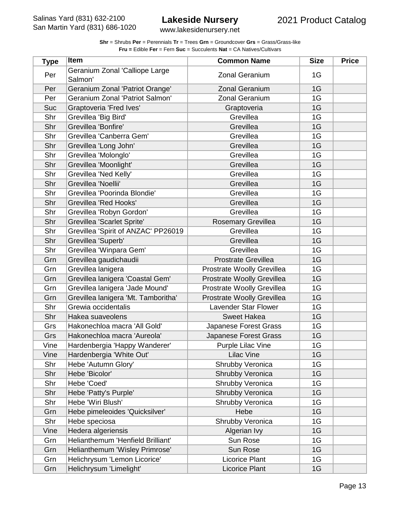| <b>Shr</b> = Shrubs <b>Per</b> = Perennials <b>Tr</b> = Trees <b>Grn</b> = Groundcover <b>Grs</b> = Grass/Grass-like |
|----------------------------------------------------------------------------------------------------------------------|
| <b>Fru = Edible Fer = Fern Suc = Succulents Nat = CA Natives/Cultivars</b>                                           |

| <b>Type</b> | <b>Item</b>                               | <b>Common Name</b>         | <b>Size</b> | <b>Price</b> |
|-------------|-------------------------------------------|----------------------------|-------------|--------------|
| Per         | Geranium Zonal 'Calliope Large<br>Salmon' | <b>Zonal Geranium</b>      | 1G          |              |
| Per         | Geranium Zonal 'Patriot Orange'           | <b>Zonal Geranium</b>      | 1G          |              |
| Per         | Geranium Zonal 'Patriot Salmon'           | <b>Zonal Geranium</b>      | 1G          |              |
| <b>Suc</b>  | Graptoveria 'Fred Ives'                   | Graptoveria                | 1G          |              |
| Shr         | Grevillea 'Big Bird'                      | Grevillea                  | 1G          |              |
| Shr         | Grevillea 'Bonfire'                       | Grevillea                  | 1G          |              |
| Shr         | Grevillea 'Canberra Gem'                  | Grevillea                  | 1G          |              |
| Shr         | Grevillea 'Long John'                     | Grevillea                  | 1G          |              |
| Shr         | Grevillea 'Molonglo'                      | Grevillea                  | 1G          |              |
| Shr         | Grevillea 'Moonlight'                     | Grevillea                  | 1G          |              |
| Shr         | Grevillea 'Ned Kelly'                     | Grevillea                  | 1G          |              |
| Shr         | Grevillea 'Noellii'                       | Grevillea                  | 1G          |              |
| Shr         | Grevillea 'Poorinda Blondie'              | Grevillea                  | 1G          |              |
| Shr         | <b>Grevillea 'Red Hooks'</b>              | Grevillea                  | 1G          |              |
| Shr         | Grevillea 'Robyn Gordon'                  | Grevillea                  | 1G          |              |
| Shr         | Grevillea 'Scarlet Sprite'                | <b>Rosemary Grevillea</b>  | 1G          |              |
| Shr         | Grevillea 'Spirit of ANZAC' PP26019       | Grevillea                  | 1G          |              |
| Shr         | Grevillea 'Superb'                        | Grevillea                  | 1G          |              |
| Shr         | Grevillea 'Winpara Gem'                   | Grevillea                  | 1G          |              |
| Grn         | Grevillea gaudichaudii                    | <b>Prostrate Grevillea</b> | 1G          |              |
| Grn         | Grevillea lanigera                        | Prostrate Woolly Grevillea | 1G          |              |
| Grn         | Grevillea lanigera 'Coastal Gem'          | Prostrate Woolly Grevillea | 1G          |              |
| Grn         | Grevillea lanigera 'Jade Mound'           | Prostrate Woolly Grevillea | 1G          |              |
| Grn         | Grevillea lanigera 'Mt. Tamboritha'       | Prostrate Woolly Grevillea | 1G          |              |
| Shr         | Grewia occidentalis                       | Lavender Star Flower       | 1G          |              |
| Shr         | Hakea suaveolens                          | <b>Sweet Hakea</b>         | 1G          |              |
| Grs         | Hakonechloa macra 'All Gold'              | Japanese Forest Grass      | 1G          |              |
| Grs         | Hakonechloa macra 'Aureola'               | Japanese Forest Grass      | 1G          |              |
| Vine        | Hardenbergia 'Happy Wanderer'             | <b>Purple Lilac Vine</b>   | 1G          |              |
| Vine        | Hardenbergia 'White Out'                  | <b>Lilac Vine</b>          | 1G          |              |
| Shr         | Hebe 'Autumn Glory'                       | Shrubby Veronica           | 1G          |              |
| Shr         | Hebe 'Bicolor'                            | Shrubby Veronica           | 1G          |              |
| Shr         | Hebe 'Coed'                               | Shrubby Veronica           | 1G          |              |
| Shr         | Hebe 'Patty's Purple'                     | Shrubby Veronica           | 1G          |              |
| Shr         | Hebe 'Wiri Blush'                         | Shrubby Veronica           | 1G          |              |
| Grn         | Hebe pimeleoides 'Quicksilver'            | Hebe                       | 1G          |              |
| Shr         | Hebe speciosa                             | Shrubby Veronica           | 1G          |              |
| Vine        | Hedera algeriensis                        | Algerian Ivy               | 1G          |              |
| Grn         | Helianthemum 'Henfield Brilliant'         | Sun Rose                   | 1G          |              |
| Grn         | Helianthemum 'Wisley Primrose'            | Sun Rose                   | 1G          |              |
| Grn         | Helichrysum 'Lemon Licorice'              | <b>Licorice Plant</b>      | 1G          |              |
| Grn         | Helichrysum 'Limelight'                   | Licorice Plant             | 1G          |              |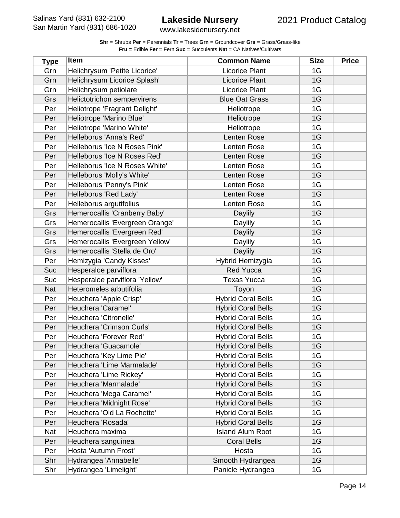www.lakesidenursery.net

| <b>Type</b> | Item                            | <b>Common Name</b>        | <b>Size</b> | <b>Price</b> |
|-------------|---------------------------------|---------------------------|-------------|--------------|
| Grn         | Helichrysum 'Petite Licorice'   | <b>Licorice Plant</b>     | 1G          |              |
| Grn         | Helichrysum Licorice Splash'    | Licorice Plant            | 1G          |              |
| Grn         | Helichrysum petiolare           | Licorice Plant            | 1G          |              |
| Grs         | Helictotrichon sempervirens     | <b>Blue Oat Grass</b>     | 1G          |              |
| Per         | Heliotrope 'Fragrant Delight'   | Heliotrope                | 1G          |              |
| Per         | Heliotrope 'Marino Blue'        | Heliotrope                | 1G          |              |
| Per         | Heliotrope 'Marino White'       | Heliotrope                | 1G          |              |
| Per         | Helleborus 'Anna's Red'         | Lenten Rose               | 1G          |              |
| Per         | Helleborus 'Ice N Roses Pink'   | Lenten Rose               | 1G          |              |
| Per         | Helleborus 'Ice N Roses Red'    | Lenten Rose               | 1G          |              |
| Per         | Helleborus 'Ice N Roses White'  | Lenten Rose               | 1G          |              |
| Per         | Helleborus 'Molly's White'      | Lenten Rose               | 1G          |              |
| Per         | Helleborus 'Penny's Pink'       | Lenten Rose               | 1G          |              |
| Per         | Helleborus 'Red Lady'           | Lenten Rose               | 1G          |              |
| Per         | Helleborus argutifolius         | Lenten Rose               | 1G          |              |
| Grs         | Hemerocallis 'Cranberry Baby'   | <b>Daylily</b>            | 1G          |              |
| Grs         | Hemerocallis 'Evergreen Orange' | Daylily                   | 1G          |              |
| Grs         | Hemerocallis 'Evergreen Red'    | Daylily                   | 1G          |              |
| Grs         | Hemerocallis 'Evergreen Yellow' | Daylily                   | 1G          |              |
| Grs         | Hemerocallis 'Stella de Oro'    | <b>Daylily</b>            | 1G          |              |
| Per         | Hemizygia 'Candy Kisses'        | Hybrid Hemizygia          | 1G          |              |
| Suc         | Hesperaloe parviflora           | <b>Red Yucca</b>          | 1G          |              |
| Suc         | Hesperaloe parviflora 'Yellow'  | <b>Texas Yucca</b>        | 1G          |              |
| <b>Nat</b>  | Heteromeles arbutifolia         | Toyon                     | 1G          |              |
| Per         | Heuchera 'Apple Crisp'          | <b>Hybrid Coral Bells</b> | 1G          |              |
| Per         | Heuchera 'Caramel'              | <b>Hybrid Coral Bells</b> | 1G          |              |
| Per         | Heuchera 'Citronelle'           | <b>Hybrid Coral Bells</b> | 1G          |              |
| Per         | Heuchera 'Crimson Curls'        | <b>Hybrid Coral Bells</b> | 1G          |              |
| Per         | Heuchera 'Forever Red'          | <b>Hybrid Coral Bells</b> | 1G          |              |
| Per         | Heuchera 'Guacamole'            | <b>Hybrid Coral Bells</b> | 1G          |              |
| Per         | Heuchera 'Key Lime Pie'         | <b>Hybrid Coral Bells</b> | 1G          |              |
| Per         | Heuchera 'Lime Marmalade'       | <b>Hybrid Coral Bells</b> | 1G          |              |
| Per         | Heuchera 'Lime Rickey'          | <b>Hybrid Coral Bells</b> | 1G          |              |
| Per         | Heuchera 'Marmalade'            | <b>Hybrid Coral Bells</b> | 1G          |              |
| Per         | Heuchera 'Mega Caramel'         | <b>Hybrid Coral Bells</b> | 1G          |              |
| Per         | Heuchera 'Midnight Rose'        | <b>Hybrid Coral Bells</b> | 1G          |              |
| Per         | Heuchera 'Old La Rochette'      | <b>Hybrid Coral Bells</b> | 1G          |              |
| Per         | Heuchera 'Rosada'               | <b>Hybrid Coral Bells</b> | 1G          |              |
| Nat         | Heuchera maxima                 | <b>Island Alum Root</b>   | 1G          |              |
| Per         | Heuchera sanguinea              | <b>Coral Bells</b>        | 1G          |              |
| Per         | Hosta 'Autumn Frost'            | Hosta                     | 1G          |              |
| Shr         | Hydrangea 'Annabelle'           | Smooth Hydrangea          | 1G          |              |
| Shr         | Hydrangea 'Limelight'           | Panicle Hydrangea         | 1G          |              |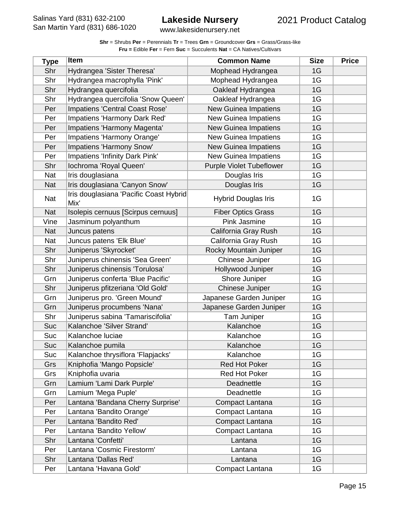| <b>Shr</b> = Shrubs Per = Perennials $Tr$ = Trees Grn = Groundcover Grs = Grass/Grass-like |
|--------------------------------------------------------------------------------------------|
| <b>Fru = Edible Fer = Fern Suc = Succulents Nat = CA Natives/Cultivars</b>                 |

| <b>Type</b> | <b>Item</b>                                    | <b>Common Name</b>              | <b>Size</b> | <b>Price</b> |
|-------------|------------------------------------------------|---------------------------------|-------------|--------------|
| Shr         | Hydrangea 'Sister Theresa'                     | Mophead Hydrangea               | 1G          |              |
| Shr         | Hydrangea macrophylla 'Pink'                   | Mophead Hydrangea               | 1G          |              |
| Shr         | Hydrangea quercifolia                          | Oakleaf Hydrangea               | 1G          |              |
| Shr         | Hydrangea quercifolia 'Snow Queen'             | Oakleaf Hydrangea               | 1G          |              |
| Per         | Impatiens 'Central Coast Rose'                 | <b>New Guinea Impatiens</b>     | 1G          |              |
| Per         | Impatiens 'Harmony Dark Red'                   | <b>New Guinea Impatiens</b>     | 1G          |              |
| Per         | Impatiens 'Harmony Magenta'                    | <b>New Guinea Impatiens</b>     | 1G          |              |
| Per         | Impatiens 'Harmony Orange'                     | New Guinea Impatiens            | 1G          |              |
| Per         | Impatiens 'Harmony Snow'                       | <b>New Guinea Impatiens</b>     | 1G          |              |
| Per         | Impatiens 'Infinity Dark Pink'                 | <b>New Guinea Impatiens</b>     | 1G          |              |
| Shr         | Iochroma 'Royal Queen'                         | <b>Purple Violet Tubeflower</b> | 1G          |              |
| Nat         | Iris douglasiana                               | Douglas Iris                    | 1G          |              |
| Nat         | Iris douglasiana 'Canyon Snow'                 | Douglas Iris                    | 1G          |              |
| Nat         | Iris douglasiana 'Pacific Coast Hybrid<br>Mix' | <b>Hybrid Douglas Iris</b>      | 1G          |              |
| <b>Nat</b>  | Isolepis cernuus [Scirpus cernuus]             | <b>Fiber Optics Grass</b>       | 1G          |              |
| Vine        | Jasminum polyanthum                            | Pink Jasmine                    | 1G          |              |
| <b>Nat</b>  | Juncus patens                                  | California Gray Rush            | 1G          |              |
| Nat         | Juncus patens 'Elk Blue'                       | California Gray Rush            | 1G          |              |
| Shr         | Juniperus 'Skyrocket'                          | Rocky Mountain Juniper          | 1G          |              |
| Shr         | Juniperus chinensis 'Sea Green'                | Chinese Juniper                 | 1G          |              |
| Shr         | Juniperus chinensis 'Torulosa'                 | Hollywood Juniper               | 1G          |              |
| Grn         | Juniperus conferta 'Blue Pacific'              | Shore Juniper                   | 1G          |              |
| Shr         | Juniperus pfitzeriana 'Old Gold'               | Chinese Juniper                 | 1G          |              |
| Grn         | Juniperus pro. 'Green Mound'                   | Japanese Garden Juniper         | 1G          |              |
| Grn         | Juniperus procumbens 'Nana'                    | Japanese Garden Juniper         | 1G          |              |
| Shr         | Juniperus sabina 'Tamariscifolia'              | <b>Tam Juniper</b>              | 1G          |              |
| Suc         | Kalanchoe 'Silver Strand'                      | Kalanchoe                       | 1G          |              |
| Suc         | Kalanchoe luciae                               | Kalanchoe                       | 1G          |              |
| Suc         | Kalanchoe pumila                               | Kalanchoe                       | 1G          |              |
| Suc         | Kalanchoe thrysiflora 'Flapjacks'              | Kalanchoe                       | 1G          |              |
| Grs         | Kniphofia 'Mango Popsicle'                     | <b>Red Hot Poker</b>            | 1G          |              |
| Grs         | Kniphofia uvaria                               | Red Hot Poker                   | 1G          |              |
| Grn         | Lamium 'Lami Dark Purple'                      | Deadnettle                      | 1G          |              |
| Grn         | Lamium 'Mega Puple'                            | Deadnettle                      | 1G          |              |
| Per         | Lantana 'Bandana Cherry Surprise'              | Compact Lantana                 | 1G          |              |
| Per         | Lantana 'Bandito Orange'                       | Compact Lantana                 | 1G          |              |
| Per         | Lantana 'Bandito Red'                          | Compact Lantana                 | 1G          |              |
| Per         | Lantana 'Bandito Yellow'                       | Compact Lantana                 | 1G          |              |
| Shr         | Lantana 'Confetti'                             | Lantana                         | 1G          |              |
| Per         | Lantana 'Cosmic Firestorm'                     | Lantana                         | 1G          |              |
| Shr         | Lantana 'Dallas Red'                           | Lantana                         | 1G          |              |
| Per         | Lantana 'Havana Gold'                          | Compact Lantana                 | 1G          |              |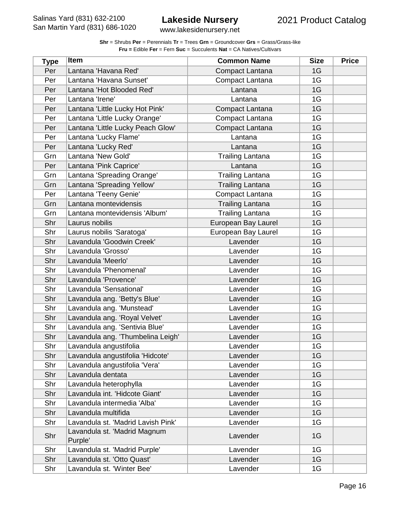| <b>Shr</b> = Shrubs <b>Per</b> = Perennials <b>Tr</b> = Trees <b>Grn</b> = Groundcover <b>Grs</b> = Grass/Grass-like |
|----------------------------------------------------------------------------------------------------------------------|
| <b>Fru = Edible Fer = Fern Suc = Succulents Nat = CA Natives/Cultivars</b>                                           |

| <b>Type</b> | Item                                    | <b>Common Name</b>      | <b>Size</b> | <b>Price</b> |
|-------------|-----------------------------------------|-------------------------|-------------|--------------|
| Per         | Lantana 'Havana Red'                    | Compact Lantana         | 1G          |              |
| Per         | Lantana 'Havana Sunset'                 | Compact Lantana         | 1G          |              |
| Per         | Lantana 'Hot Blooded Red'               | Lantana                 | 1G          |              |
| Per         | Lantana 'Irene'                         | Lantana                 | 1G          |              |
| Per         | Lantana 'Little Lucky Hot Pink'         | Compact Lantana         | 1G          |              |
| Per         | Lantana 'Little Lucky Orange'           | Compact Lantana         | 1G          |              |
| Per         | Lantana 'Little Lucky Peach Glow'       | Compact Lantana         | 1G          |              |
| Per         | Lantana 'Lucky Flame'                   | Lantana                 | 1G          |              |
| Per         | Lantana 'Lucky Red'                     | Lantana                 | 1G          |              |
| Grn         | Lantana 'New Gold'                      | <b>Trailing Lantana</b> | 1G          |              |
| Per         | Lantana 'Pink Caprice'                  | Lantana                 | 1G          |              |
| Grn         | Lantana 'Spreading Orange'              | <b>Trailing Lantana</b> | 1G          |              |
| Grn         | Lantana 'Spreading Yellow'              | <b>Trailing Lantana</b> | 1G          |              |
| Per         | Lantana 'Teeny Genie'                   | Compact Lantana         | 1G          |              |
| Grn         | Lantana montevidensis                   | <b>Trailing Lantana</b> | 1G          |              |
| Grn         | Lantana montevidensis 'Album'           | <b>Trailing Lantana</b> | 1G          |              |
| Shr         | Laurus nobilis                          | European Bay Laurel     | 1G          |              |
| Shr         | Laurus nobilis 'Saratoga'               | European Bay Laurel     | 1G          |              |
| Shr         | Lavandula 'Goodwin Creek'               | Lavender                | 1G          |              |
| Shr         | Lavandula 'Grosso'                      | Lavender                | 1G          |              |
| Shr         | Lavandula 'Meerlo'                      | Lavender                | 1G          |              |
| Shr         | Lavandula 'Phenomenal'                  | Lavender                | 1G          |              |
| Shr         | Lavandula 'Provence'                    | Lavender                | 1G          |              |
| Shr         | Lavandula 'Sensational'                 | Lavender                | 1G          |              |
| Shr         | Lavandula ang. 'Betty's Blue'           | Lavender                | 1G          |              |
| Shr         | Lavandula ang. 'Munstead'               | Lavender                | 1G          |              |
| Shr         | Lavandula ang. 'Royal Velvet'           | Lavender                | 1G          |              |
| Shr         | Lavandula ang. 'Sentivia Blue'          | Lavender                | 1G          |              |
| Shr         | Lavandula ang. 'Thumbelina Leigh'       | Lavender                | 1G          |              |
| Shr         | Lavandula angustifolia                  | Lavender                | 1G          |              |
| Shr         | Lavandula angustifolia 'Hidcote'        | Lavender                | 1G          |              |
| Shr         | Lavandula angustifolia 'Vera'           | Lavender                | 1G          |              |
| Shr         | Lavandula dentata                       | Lavender                | 1G          |              |
| Shr         | Lavandula heterophylla                  | Lavender                | 1G          |              |
| Shr         | Lavandula int. 'Hidcote Giant'          | Lavender                | 1G          |              |
| Shr         | Lavandula intermedia 'Alba'             | Lavender                | 1G          |              |
| Shr         | Lavandula multifida                     | Lavender                | 1G          |              |
| Shr         | Lavandula st. 'Madrid Lavish Pink'      | Lavender                | 1G          |              |
| Shr         | Lavandula st. 'Madrid Magnum<br>Purple' | Lavender                | 1G          |              |
| Shr         | Lavandula st. 'Madrid Purple'           | Lavender                | 1G          |              |
| Shr         | Lavandula st. 'Otto Quast'              | Lavender                | 1G          |              |
| Shr         | Lavandula st. 'Winter Bee'              | Lavender                | 1G          |              |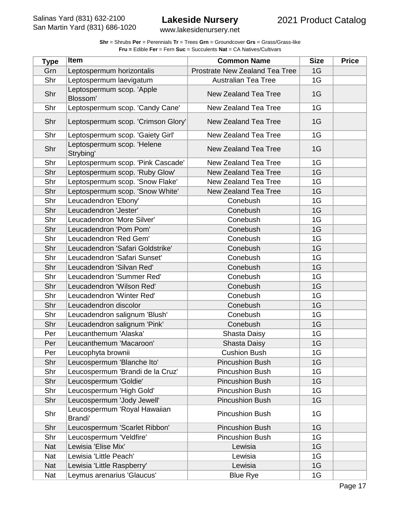| <b>Shr</b> = Shrubs <b>Per</b> = Perennials <b>Tr</b> = Trees <b>Grn</b> = Groundcover <b>Grs</b> = Grass/Grass-like |
|----------------------------------------------------------------------------------------------------------------------|
| <b>Fru = Edible Fer = Fern Suc = Succulents Nat = CA Natives/Cultivars</b>                                           |

| <b>Type</b> | Item                                    | <b>Common Name</b>             | <b>Size</b> | <b>Price</b> |
|-------------|-----------------------------------------|--------------------------------|-------------|--------------|
| Grn         | Leptospermum horizontalis               | Prostrate New Zealand Tea Tree | 1G          |              |
| Shr         | Leptospermum laevigatum                 | <b>Australian Tea Tree</b>     | 1G          |              |
| Shr         | Leptospermum scop. 'Apple<br>Blossom'   | New Zealand Tea Tree           | 1G          |              |
| Shr         | Leptospermum scop. 'Candy Cane'         | New Zealand Tea Tree           | 1G          |              |
| Shr         | Leptospermum scop. 'Crimson Glory'      | New Zealand Tea Tree           | 1G          |              |
| Shr         | Leptospermum scop. 'Gaiety Girl'        | New Zealand Tea Tree           | 1G          |              |
| Shr         | Leptospermum scop. 'Helene<br>Strybing' | <b>New Zealand Tea Tree</b>    | 1G          |              |
| Shr         | Leptospermum scop. 'Pink Cascade'       | New Zealand Tea Tree           | 1G          |              |
| Shr         | Leptospermum scop. 'Ruby Glow'          | <b>New Zealand Tea Tree</b>    | 1G          |              |
| Shr         | Leptospermum scop. 'Snow Flake'         | New Zealand Tea Tree           | 1G          |              |
| Shr         | Leptospermum scop. 'Snow White'         | <b>New Zealand Tea Tree</b>    | 1G          |              |
| Shr         | Leucadendron 'Ebony'                    | Conebush                       | 1G          |              |
| Shr         | Leucadendron 'Jester'                   | Conebush                       | 1G          |              |
| Shr         | Leucadendron 'More Silver'              | Conebush                       | 1G          |              |
| Shr         | Leucadendron 'Pom Pom'                  | Conebush                       | 1G          |              |
| Shr         | Leucadendron 'Red Gem'                  | Conebush                       | 1G          |              |
| Shr         | Leucadendron 'Safari Goldstrike'        | Conebush                       | 1G          |              |
| Shr         | Leucadendron 'Safari Sunset'            | Conebush                       | 1G          |              |
| Shr         | Leucadendron 'Silvan Red'               | Conebush                       | 1G          |              |
| Shr         | Leucadendron 'Summer Red'               | Conebush                       | 1G          |              |
| Shr         | Leucadendron 'Wilson Red'               | Conebush                       | 1G          |              |
| Shr         | Leucadendron 'Winter Red'               | Conebush                       | 1G          |              |
| Shr         | Leucadendron discolor                   | Conebush                       | 1G          |              |
| Shr         | Leucadendron salignum 'Blush'           | Conebush                       | 1G          |              |
| Shr         | Leucadendron salignum 'Pink'            | Conebush                       | 1G          |              |
| Per         | Leucanthemum 'Alaska'                   | Shasta Daisy                   | 1G          |              |
| Per         | Leucanthemum 'Macaroon'                 | Shasta Daisy                   | 1G          |              |
| Per         | Leucophyta brownii                      | <b>Cushion Bush</b>            | 1G          |              |
| Shr         | Leucospermum 'Blanche Ito'              | <b>Pincushion Bush</b>         | 1G          |              |
| Shr         | Leucospermum 'Brandi de la Cruz'        | <b>Pincushion Bush</b>         | 1G          |              |
| Shr         | Leucospermum 'Goldie'                   | <b>Pincushion Bush</b>         | 1G          |              |
| Shr         | Leucospermum 'High Gold'                | <b>Pincushion Bush</b>         | 1G          |              |
| Shr         | Leucospermum 'Jody Jewell'              | <b>Pincushion Bush</b>         | 1G          |              |
| Shr         | Leucospermum 'Royal Hawaiian<br>Brandi' | <b>Pincushion Bush</b>         | 1G          |              |
| Shr         | Leucospermum 'Scarlet Ribbon'           | <b>Pincushion Bush</b>         | 1G          |              |
| Shr         | Leucospermum 'Veldfire'                 | <b>Pincushion Bush</b>         | 1G          |              |
| <b>Nat</b>  | Lewisia 'Elise Mix'                     | Lewisia                        | 1G          |              |
| Nat         | Lewisia 'Little Peach'                  | Lewisia                        | 1G          |              |
| <b>Nat</b>  | Lewisia 'Little Raspberry'              | Lewisia                        | 1G          |              |
| Nat         | Leymus arenarius 'Glaucus'              | <b>Blue Rye</b>                | 1G          |              |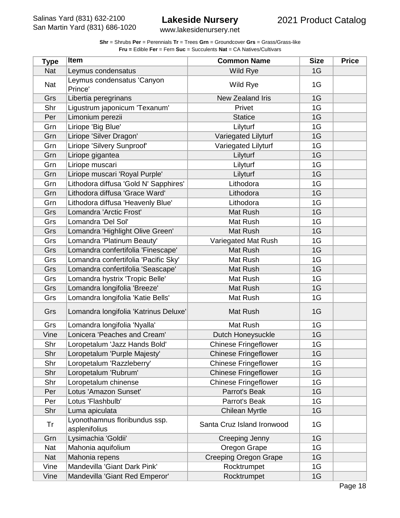| <b>Shr</b> = Shrubs <b>Per</b> = Perennials <b>Tr</b> = Trees <b>Grn</b> = Groundcover <b>Grs</b> = Grass/Grass-like |
|----------------------------------------------------------------------------------------------------------------------|
| <b>Fru = Edible Fer = Fern Suc = Succulents Nat = CA Natives/Cultivars</b>                                           |

| <b>Type</b> | <b>Item</b>                                    | <b>Common Name</b>           | <b>Size</b> | <b>Price</b> |
|-------------|------------------------------------------------|------------------------------|-------------|--------------|
| Nat         | Leymus condensatus                             | Wild Rye                     | 1G          |              |
| Nat         | Leymus condensatus 'Canyon<br>Prince'          | Wild Rye                     | 1G          |              |
| Grs         | Libertia peregrinans                           | New Zealand Iris             | 1G          |              |
| Shr         | Ligustrum japonicum 'Texanum'                  | Privet                       | 1G          |              |
| Per         | Limonium perezii                               | <b>Statice</b>               | 1G          |              |
| Grn         | Liriope 'Big Blue'                             | Lilyturf                     | 1G          |              |
| Grn         | Liriope 'Silver Dragon'                        | Variegated Lilyturf          | 1G          |              |
| Grn         | Liriope 'Silvery Sunproof'                     | Variegated Lilyturf          | 1G          |              |
| Grn         | Liriope gigantea                               | Lilyturf                     | 1G          |              |
| Grn         | Liriope muscari                                | Lilyturf                     | 1G          |              |
| Grn         | Liriope muscari 'Royal Purple'                 | Lilyturf                     | 1G          |              |
| Grn         | Lithodora diffusa 'Gold N' Sapphires'          | Lithodora                    | 1G          |              |
| Grn         | Lithodora diffusa 'Grace Ward'                 | Lithodora                    | 1G          |              |
| Grn         | Lithodora diffusa 'Heavenly Blue'              | Lithodora                    | 1G          |              |
| Grs         | Lomandra 'Arctic Frost'                        | Mat Rush                     | 1G          |              |
| Grs         | Lomandra 'Del Sol'                             | Mat Rush                     | 1G          |              |
| Grs         | Lomandra 'Highlight Olive Green'               | Mat Rush                     | 1G          |              |
| Grs         | Lomandra 'Platinum Beauty'                     | Variegated Mat Rush          | 1G          |              |
| Grs         | Lomandra confertifolia 'Finescape'             | Mat Rush                     | 1G          |              |
| Grs         | Lomandra confertifolia 'Pacific Sky'           | Mat Rush                     | 1G          |              |
| Grs         | Lomandra confertifolia 'Seascape'              | Mat Rush                     | 1G          |              |
| Grs         | Lomandra hystrix 'Tropic Belle'                | Mat Rush                     | 1G          |              |
| Grs         | Lomandra longifolia 'Breeze'                   | Mat Rush                     | 1G          |              |
| Grs         | Lomandra longifolia 'Katie Bells'              | Mat Rush                     | 1G          |              |
| Grs         | Lomandra longifolia 'Katrinus Deluxe'          | Mat Rush                     | 1G          |              |
| Grs         | Lomandra longifolia 'Nyalla'                   | Mat Rush                     | 1G          |              |
| Vine        | Lonicera 'Peaches and Cream'                   | Dutch Honeysuckle            | 1G          |              |
| Shr         | Loropetalum 'Jazz Hands Bold'                  | <b>Chinese Fringeflower</b>  | 1G          |              |
| Shr         | Loropetalum 'Purple Majesty'                   | <b>Chinese Fringeflower</b>  | 1G          |              |
| Shr         | Loropetalum 'Razzleberry'                      | <b>Chinese Fringeflower</b>  | 1G          |              |
| Shr         | Loropetalum 'Rubrum'                           | <b>Chinese Fringeflower</b>  | 1G          |              |
| Shr         | Loropetalum chinense                           | <b>Chinese Fringeflower</b>  | 1G          |              |
| Per         | Lotus 'Amazon Sunset'                          | Parrot's Beak                | 1G          |              |
| Per         | Lotus 'Flashbulb'                              | Parrot's Beak                | 1G          |              |
| Shr         | Luma apiculata                                 | <b>Chilean Myrtle</b>        | 1G          |              |
| Tr          | Lyonothamnus floribundus ssp.<br>asplenifolius | Santa Cruz Island Ironwood   | 1G          |              |
| Grn         | Lysimachia 'Goldii'                            | Creeping Jenny               | 1G          |              |
| Nat         | Mahonia aquifolium                             | Oregon Grape                 | 1G          |              |
| <b>Nat</b>  | Mahonia repens                                 | <b>Creeping Oregon Grape</b> | 1G          |              |
| Vine        | Mandevilla 'Giant Dark Pink'                   | Rocktrumpet                  | 1G          |              |
| Vine        | Mandevilla 'Giant Red Emperor'                 | Rocktrumpet                  | 1G          |              |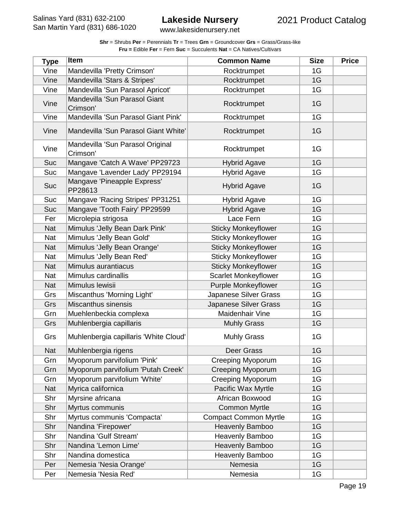| <b>Shr</b> = Shrubs <b>Per</b> = Perennials <b>Tr</b> = Trees <b>Grn</b> = Groundcover <b>Grs</b> = Grass/Grass-like |
|----------------------------------------------------------------------------------------------------------------------|
| <b>Fru = Edible Fer = Fern Suc = Succulents Nat = CA Natives/Cultivars</b>                                           |

| <b>Type</b> | Item                                         | <b>Common Name</b>           | <b>Size</b> | <b>Price</b> |
|-------------|----------------------------------------------|------------------------------|-------------|--------------|
| Vine        | Mandevilla 'Pretty Crimson'                  | Rocktrumpet                  | 1G          |              |
| Vine        | Mandevilla 'Stars & Stripes'                 | Rocktrumpet                  | 1G          |              |
| Vine        | Mandevilla 'Sun Parasol Apricot'             | Rocktrumpet                  | 1G          |              |
| Vine        | Mandevilla 'Sun Parasol Giant<br>Crimson'    | Rocktrumpet                  | 1G          |              |
| Vine        | Mandevilla 'Sun Parasol Giant Pink'          | Rocktrumpet                  | 1G          |              |
| Vine        | Mandevilla 'Sun Parasol Giant White'         | Rocktrumpet                  | 1G          |              |
| Vine        | Mandevilla 'Sun Parasol Original<br>Crimson' | Rocktrumpet                  | 1G          |              |
| Suc         | Mangave 'Catch A Wave' PP29723               | <b>Hybrid Agave</b>          | 1G          |              |
| Suc         | Mangave 'Lavender Lady' PP29194              | <b>Hybrid Agave</b>          | 1G          |              |
| Suc         | Mangave 'Pineapple Express'<br>PP28613       | <b>Hybrid Agave</b>          | 1G          |              |
| Suc         | Mangave 'Racing Stripes' PP31251             | <b>Hybrid Agave</b>          | 1G          |              |
| Suc         | Mangave 'Tooth Fairy' PP29599                | <b>Hybrid Agave</b>          | 1G          |              |
| Fer         | Microlepia strigosa                          | Lace Fern                    | 1G          |              |
| <b>Nat</b>  | Mimulus 'Jelly Bean Dark Pink'               | <b>Sticky Monkeyflower</b>   | 1G          |              |
| Nat         | Mimulus 'Jelly Bean Gold'                    | <b>Sticky Monkeyflower</b>   | 1G          |              |
| <b>Nat</b>  | Mimulus 'Jelly Bean Orange'                  | <b>Sticky Monkeyflower</b>   | 1G          |              |
| Nat         | Mimulus 'Jelly Bean Red'                     | <b>Sticky Monkeyflower</b>   | 1G          |              |
| Nat         | Mimulus aurantiacus                          | <b>Sticky Monkeyflower</b>   | 1G          |              |
| Nat         | Mimulus cardinallis                          | <b>Scarlet Monkeyflower</b>  | 1G          |              |
| <b>Nat</b>  | Mimulus lewisii                              | <b>Purple Monkeyflower</b>   | 1G          |              |
| Grs         | Miscanthus 'Morning Light'                   | Japanese Silver Grass        | 1G          |              |
| Grs         | Miscanthus sinensis                          | Japanese Silver Grass        | 1G          |              |
| Grn         | Muehlenbeckia complexa                       | Maidenhair Vine              | 1G          |              |
| Grs         | Muhlenbergia capillaris                      | <b>Muhly Grass</b>           | 1G          |              |
| Grs         | Muhlenbergia capillaris 'White Cloud'        | <b>Muhly Grass</b>           | 1G          |              |
| <b>Nat</b>  | Muhlenbergia rigens                          | Deer Grass                   | 1G          |              |
| Grn         | Myoporum parvifolium 'Pink'                  | <b>Creeping Myoporum</b>     | 1G          |              |
| Grn         | Myoporum parvifolium 'Putah Creek'           | <b>Creeping Myoporum</b>     | 1G          |              |
| Grn         | Myoporum parvifolium 'White'                 | Creeping Myoporum            | 1G          |              |
| <b>Nat</b>  | Myrica californica                           | Pacific Wax Myrtle           | 1G          |              |
| Shr         | Myrsine africana                             | African Boxwood              | 1G          |              |
| Shr         | Myrtus communis                              | <b>Common Myrtle</b>         | 1G          |              |
| Shr         | Myrtus communis 'Compacta'                   | <b>Compact Common Myrtle</b> | 1G          |              |
| Shr         | Nandina 'Firepower'                          | Heavenly Bamboo              | 1G          |              |
| Shr         | Nandina 'Gulf Stream'                        | Heavenly Bamboo              | 1G          |              |
| Shr         | Nandina 'Lemon Lime'                         | Heavenly Bamboo              | 1G          |              |
| Shr         | Nandina domestica                            | Heavenly Bamboo              | 1G          |              |
| Per         | Nemesia 'Nesia Orange'                       | Nemesia                      | 1G          |              |
| Per         | Nemesia 'Nesia Red'                          | Nemesia                      | 1G          |              |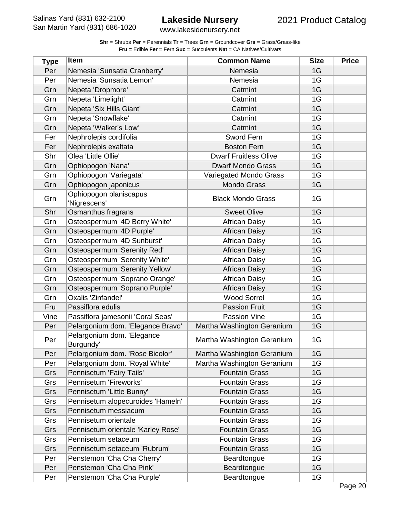| <b>Shr</b> = Shrubs <b>Per</b> = Perennials <b>Tr</b> = Trees Grn = Groundcover Grs = Grass/Grass-like |
|--------------------------------------------------------------------------------------------------------|
| <b>Fru = Edible Fer = Fern Suc = Succulents Nat = CA Natives/Cultivars</b>                             |

| <b>Type</b> | <b>Item</b>                             | <b>Common Name</b>           | <b>Size</b> | <b>Price</b> |
|-------------|-----------------------------------------|------------------------------|-------------|--------------|
| Per         | Nemesia 'Sunsatia Cranberry'            | Nemesia                      | 1G          |              |
| Per         | Nemesia 'Sunsatia Lemon'                | Nemesia                      | 1G          |              |
| Grn         | Nepeta 'Dropmore'                       | Catmint                      | 1G          |              |
| Grn         | Nepeta 'Limelight'                      | Catmint                      | 1G          |              |
| Grn         | Nepeta 'Six Hills Giant'                | Catmint                      | 1G          |              |
| Grn         | Nepeta 'Snowflake'                      | Catmint                      | 1G          |              |
| Grn         | Nepeta 'Walker's Low'                   | Catmint                      | 1G          |              |
| Fer         | Nephrolepis cordifolia                  | Sword Fern                   | 1G          |              |
| Fer         | Nephrolepis exaltata                    | <b>Boston Fern</b>           | 1G          |              |
| Shr         | Olea 'Little Ollie'                     | <b>Dwarf Fruitless Olive</b> | 1G          |              |
| Grn         | Ophiopogon 'Nana'                       | <b>Dwarf Mondo Grass</b>     | 1G          |              |
| Grn         | Ophiopogon 'Variegata'                  | Variegated Mondo Grass       | 1G          |              |
| Grn         | Ophiopogon japonicus                    | <b>Mondo Grass</b>           | 1G          |              |
| Grn         | Ophiopogon planiscapus<br>'Nigrescens'  | <b>Black Mondo Grass</b>     | 1G          |              |
| Shr         | Osmanthus fragrans                      | <b>Sweet Olive</b>           | 1G          |              |
| Grn         | Osteospermum '4D Berry White'           | <b>African Daisy</b>         | 1G          |              |
| Grn         | Osteospermum '4D Purple'                | <b>African Daisy</b>         | 1G          |              |
| Grn         | Osteospermum '4D Sunburst'              | <b>African Daisy</b>         | 1G          |              |
| Grn         | Osteospermum 'Serenity Red'             | <b>African Daisy</b>         | 1G          |              |
| Grn         | Osteospermum 'Serenity White'           | <b>African Daisy</b>         | 1G          |              |
| Grn         | Osteospermum 'Serenity Yellow'          | <b>African Daisy</b>         | 1G          |              |
| Grn         | Osteospermum 'Soprano Orange'           | <b>African Daisy</b>         | 1G          |              |
| Grn         | Osteospermum 'Soprano Purple'           | <b>African Daisy</b>         | 1G          |              |
| Grn         | Oxalis 'Zinfandel'                      | <b>Wood Sorrel</b>           | 1G          |              |
| Fru         | Passiflora edulis                       | <b>Passion Fruit</b>         | 1G          |              |
| Vine        | Passiflora jamesonii 'Coral Seas'       | Passion Vine                 | 1G          |              |
| Per         | Pelargonium dom. 'Elegance Bravo'       | Martha Washington Geranium   | 1G          |              |
| Per         | Pelargonium dom. 'Elegance<br>Burgundy' | Martha Washington Geranium   | 1G          |              |
| Per         | Pelargonium dom. 'Rose Bicolor'         | Martha Washington Geranium   | 1G          |              |
| Per         | Pelargonium dom. 'Royal White'          | Martha Washington Geranium   | 1G          |              |
| Grs         | Pennisetum 'Fairy Tails'                | <b>Fountain Grass</b>        | 1G          |              |
| Grs         | Pennisetum 'Fireworks'                  | <b>Fountain Grass</b>        | 1G          |              |
| Grs         | Pennisetum 'Little Bunny'               | <b>Fountain Grass</b>        | 1G          |              |
| Grs         | Pennisetum alopecuroides 'Hameln'       | <b>Fountain Grass</b>        | 1G          |              |
| Grs         | Pennisetum messiacum                    | <b>Fountain Grass</b>        | 1G          |              |
| Grs         | Pennisetum orientale                    | <b>Fountain Grass</b>        | 1G          |              |
| Grs         | Pennisetum orientale 'Karley Rose'      | <b>Fountain Grass</b>        | 1G          |              |
| Grs         | Pennisetum setaceum                     | <b>Fountain Grass</b>        | 1G          |              |
| Grs         | Pennisetum setaceum 'Rubrum'            | <b>Fountain Grass</b>        | 1G          |              |
| Per         | Penstemon 'Cha Cha Cherry'              | Beardtongue                  | 1G          |              |
| Per         | Penstemon 'Cha Cha Pink'                | Beardtongue                  | 1G          |              |
| Per         | Penstemon 'Cha Cha Purple'              | Beardtongue                  | 1G          |              |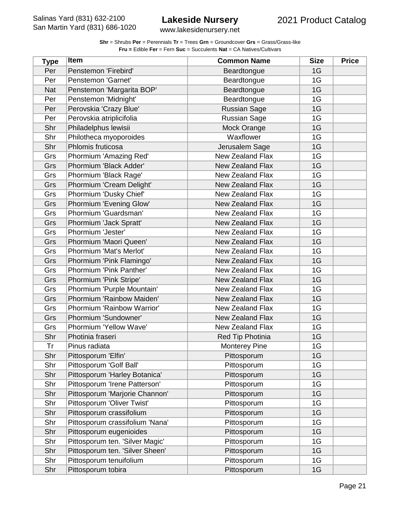www.lakesidenursery.net

| Type       | <b>Item</b>                     | <b>Common Name</b>      | <b>Size</b> | <b>Price</b> |
|------------|---------------------------------|-------------------------|-------------|--------------|
| Per        | Penstemon 'Firebird'            | Beardtongue             | 1G          |              |
| Per        | Penstemon 'Garnet'              | Beardtongue             | 1G          |              |
| <b>Nat</b> | Penstemon 'Margarita BOP'       | Beardtongue             | 1G          |              |
| Per        | Penstemon 'Midnight'            | Beardtongue             | 1G          |              |
| Per        | Perovskia 'Crazy Blue'          | <b>Russian Sage</b>     | 1G          |              |
| Per        | Perovskia atriplicifolia        | <b>Russian Sage</b>     | 1G          |              |
| Shr        | Philadelphus lewisii            | Mock Orange             | 1G          |              |
| Shr        | Philotheca myoporoides          | Waxflower               | 1G          |              |
| Shr        | Phlomis fruticosa               | Jerusalem Sage          | 1G          |              |
| Grs        | Phormium 'Amazing Red'          | <b>New Zealand Flax</b> | 1G          |              |
| Grs        | Phormium 'Black Adder'          | <b>New Zealand Flax</b> | 1G          |              |
| Grs        | Phormium 'Black Rage'           | <b>New Zealand Flax</b> | 1G          |              |
| Grs        | Phormium 'Cream Delight'        | <b>New Zealand Flax</b> | 1G          |              |
| Grs        | Phormium 'Dusky Chief'          | New Zealand Flax        | 1G          |              |
| Grs        | Phormium 'Evening Glow'         | <b>New Zealand Flax</b> | 1G          |              |
| Grs        | Phormium 'Guardsman'            | <b>New Zealand Flax</b> | 1G          |              |
| Grs        | Phormium 'Jack Spratt'          | <b>New Zealand Flax</b> | 1G          |              |
| Grs        | Phormium 'Jester'               | <b>New Zealand Flax</b> | 1G          |              |
| Grs        | Phormium 'Maori Queen'          | <b>New Zealand Flax</b> | 1G          |              |
| Grs        | Phormium 'Mat's Merlot'         | <b>New Zealand Flax</b> | 1G          |              |
| Grs        | Phormium 'Pink Flamingo'        | New Zealand Flax        | 1G          |              |
| Grs        | Phormium 'Pink Panther'         | <b>New Zealand Flax</b> | 1G          |              |
| Grs        | Phormium 'Pink Stripe'          | <b>New Zealand Flax</b> | 1G          |              |
| Grs        | Phormium 'Purple Mountain'      | <b>New Zealand Flax</b> | 1G          |              |
| Grs        | Phormium 'Rainbow Maiden'       | <b>New Zealand Flax</b> | 1G          |              |
| Grs        | Phormium 'Rainbow Warrior'      | New Zealand Flax        | 1G          |              |
| Grs        | Phormium 'Sundowner'            | <b>New Zealand Flax</b> | 1G          |              |
| Grs        | Phormium 'Yellow Wave'          | <b>New Zealand Flax</b> | 1G          |              |
| Shr        | Photinia fraseri                | Red Tip Photinia        | 1G          |              |
| Tr         | Pinus radiata                   | <b>Monterey Pine</b>    | 1G          |              |
| Shr        | Pittosporum 'Elfin'             | Pittosporum             | 1G          |              |
| Shr        | Pittosporum 'Golf Ball'         | Pittosporum             | 1G          |              |
| Shr        | Pittosporum 'Harley Botanica'   | Pittosporum             | 1G          |              |
| Shr        | Pittosporum 'Irene Patterson'   | Pittosporum             | 1G          |              |
| Shr        | Pittosporum 'Marjorie Channon'  | Pittosporum             | 1G          |              |
| Shr        | Pittosporum 'Oliver Twist'      | Pittosporum             | 1G          |              |
| Shr        | Pittosporum crassifolium        | Pittosporum             | 1G          |              |
| Shr        | Pittosporum crassifolium 'Nana' | Pittosporum             | 1G          |              |
| Shr        | Pittosporum eugenioides         | Pittosporum             | 1G          |              |
| Shr        | Pittosporum ten. 'Silver Magic' | Pittosporum             | 1G          |              |
| Shr        | Pittosporum ten. 'Silver Sheen' | Pittosporum             | 1G          |              |
| Shr        | Pittosporum tenuifolium         | Pittosporum             | 1G          |              |
| Shr        | Pittosporum tobira              | Pittosporum             | 1G          |              |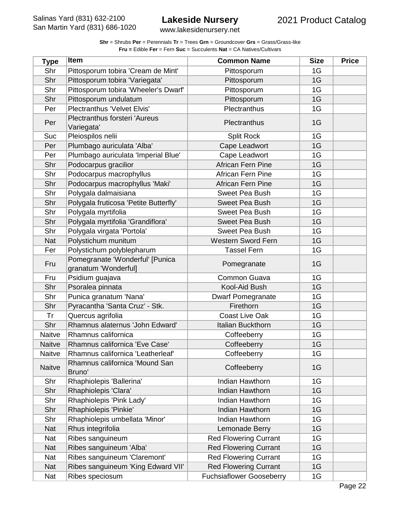| <b>Shr</b> = Shrubs <b>Per</b> = Perennials $Tr$ = Trees $Grn$ = Groundcover $Grs$ = Grass/Grass-like |
|-------------------------------------------------------------------------------------------------------|
| <b>Fru = Edible Fer = Fern Suc = Succulents Nat = CA Natives/Cultivars</b>                            |

| <b>Type</b>   | <b>Item</b>                                             | <b>Common Name</b>              | <b>Size</b> | <b>Price</b> |
|---------------|---------------------------------------------------------|---------------------------------|-------------|--------------|
| Shr           | Pittosporum tobira 'Cream de Mint'                      | Pittosporum                     | 1G          |              |
| Shr           | Pittosporum tobira 'Variegata'                          | Pittosporum                     | 1G          |              |
| Shr           | Pittosporum tobira 'Wheeler's Dwarf'                    | Pittosporum                     | 1G          |              |
| Shr           | Pittosporum undulatum                                   | Pittosporum                     | 1G          |              |
| Per           | <b>Plectranthus 'Velvet Elvis'</b>                      | Plectranthus                    | 1G          |              |
| Per           | <b>Plectranthus forsteri 'Aureus</b><br>Variegata'      | Plectranthus                    | 1G          |              |
| Suc           | Pleiospilos nelii                                       | <b>Split Rock</b>               | 1G          |              |
| Per           | Plumbago auriculata 'Alba'                              | Cape Leadwort                   | 1G          |              |
| Per           | Plumbago auriculata 'Imperial Blue'                     | Cape Leadwort                   | 1G          |              |
| Shr           | Podocarpus gracilior                                    | <b>African Fern Pine</b>        | 1G          |              |
| Shr           | Podocarpus macrophyllus                                 | <b>African Fern Pine</b>        | 1G          |              |
| Shr           | Podocarpus macrophyllus 'Maki'                          | <b>African Fern Pine</b>        | 1G          |              |
| Shr           | Polygala dalmaisiana                                    | <b>Sweet Pea Bush</b>           | 1G          |              |
| Shr           | Polygala fruticosa 'Petite Butterfly'                   | <b>Sweet Pea Bush</b>           | 1G          |              |
| Shr           | Polygala myrtifolia                                     | Sweet Pea Bush                  | 1G          |              |
| Shr           | Polygala myrtifolia 'Grandiflora'                       | <b>Sweet Pea Bush</b>           | 1G          |              |
| Shr           | Polygala virgata 'Portola'                              | <b>Sweet Pea Bush</b>           | 1G          |              |
| <b>Nat</b>    | Polystichum munitum                                     | <b>Western Sword Fern</b>       | 1G          |              |
| Fer           | Polystichum polyblepharum                               | <b>Tassel Fern</b>              | 1G          |              |
| Fru           | Pomegranate 'Wonderful' [Punica<br>granatum 'Wonderful] | Pomegranate                     | 1G          |              |
| Fru           | Psidium guajava                                         | Common Guava                    | 1G          |              |
| Shr           | Psoralea pinnata                                        | Kool-Aid Bush                   | 1G          |              |
| Shr           | Punica granatum 'Nana'                                  | <b>Dwarf Pomegranate</b>        | 1G          |              |
| Shr           | Pyracantha 'Santa Cruz' - Stk.                          | Firethorn                       | 1G          |              |
| Tr            | Quercus agrifolia                                       | <b>Coast Live Oak</b>           | 1G          |              |
| Shr           | Rhamnus alaternus 'John Edward'                         | Italian Buckthorn               | 1G          |              |
| Naitve        | Rhamnus californica                                     | Coffeeberry                     | 1G          |              |
| <b>Naitve</b> | Rhamnus californica 'Eve Case'                          | Coffeeberry                     | 1G          |              |
| Naitve        | Rhamnus californica 'Leatherleaf'                       | Coffeeberry                     | 1G          |              |
| <b>Naitve</b> | Rhamnus californica 'Mound San<br>Bruno'                | Coffeeberry                     | 1G          |              |
| Shr           | Rhaphiolepis 'Ballerina'                                | Indian Hawthorn                 | 1G          |              |
| Shr           | Rhaphiolepis 'Clara'                                    | Indian Hawthorn                 | 1G          |              |
| Shr           | Rhaphiolepis 'Pink Lady'                                | Indian Hawthorn                 | 1G          |              |
| Shr           | Rhaphiolepis 'Pinkie'                                   | Indian Hawthorn                 | 1G          |              |
| Shr           | Rhaphiolepis umbellata 'Minor'                          | Indian Hawthorn                 | 1G          |              |
| Nat           | Rhus integrifolia                                       | Lemonade Berry                  | 1G          |              |
| Nat           | Ribes sanguineum                                        | <b>Red Flowering Currant</b>    | 1G          |              |
| <b>Nat</b>    | Ribes sanguineum 'Alba'                                 | <b>Red Flowering Currant</b>    | 1G          |              |
| Nat           | Ribes sanguineum 'Claremont'                            | <b>Red Flowering Currant</b>    | 1G          |              |
| Nat           | Ribes sanguineum 'King Edward VII'                      | <b>Red Flowering Currant</b>    | 1G          |              |
| Nat           | Ribes speciosum                                         | <b>Fuchsiaflower Gooseberry</b> | 1G          |              |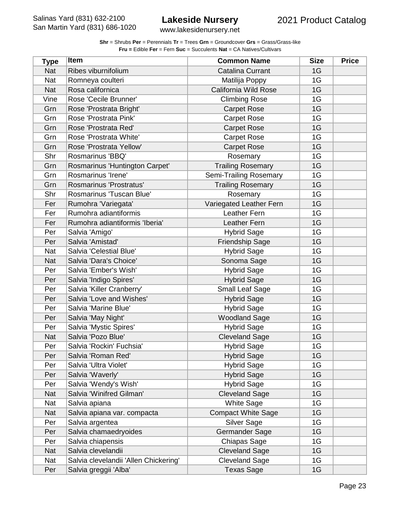www.lakesidenursery.net

| <b>Type</b> | <b>Item</b>                           | <b>Common Name</b>        | <b>Size</b> | <b>Price</b> |
|-------------|---------------------------------------|---------------------------|-------------|--------------|
| <b>Nat</b>  | Ribes viburnifolium                   | <b>Catalina Currant</b>   | 1G          |              |
| Nat         | Romneya coulteri                      | Matilija Poppy            | 1G          |              |
| <b>Nat</b>  | Rosa californica                      | California Wild Rose      | 1G          |              |
| Vine        | Rose 'Cecile Brunner'                 | <b>Climbing Rose</b>      | 1G          |              |
| Grn         | Rose 'Prostrata Bright'               | <b>Carpet Rose</b>        | 1G          |              |
| Grn         | Rose 'Prostrata Pink'                 | <b>Carpet Rose</b>        | 1G          |              |
| Grn         | Rose 'Prostrata Red'                  | <b>Carpet Rose</b>        | 1G          |              |
| Grn         | Rose 'Prostrata White'                | <b>Carpet Rose</b>        | 1G          |              |
| Grn         | Rose 'Prostrata Yellow'               | <b>Carpet Rose</b>        | 1G          |              |
| Shr         | Rosmarinus 'BBQ'                      | Rosemary                  | 1G          |              |
| Grn         | Rosmarinus 'Huntington Carpet'        | <b>Trailing Rosemary</b>  | 1G          |              |
| Grn         | Rosmarinus 'Irene'                    | Semi-Trailing Rosemary    | 1G          |              |
| Grn         | Rosmarinus 'Prostratus'               | <b>Trailing Rosemary</b>  | 1G          |              |
| Shr         | Rosmarinus 'Tuscan Blue'              | Rosemary                  | 1G          |              |
| Fer         | Rumohra 'Variegata'                   | Variegated Leather Fern   | 1G          |              |
| Fer         | Rumohra adiantiformis                 | Leather Fern              | 1G          |              |
| Fer         | Rumohra adiantiformis 'Iberia'        | Leather Fern              | 1G          |              |
| Per         | Salvia 'Amigo'                        | <b>Hybrid Sage</b>        | 1G          |              |
| Per         | Salvia 'Amistad'                      | <b>Friendship Sage</b>    | 1G          |              |
| Nat         | Salvia 'Celestial Blue'               | <b>Hybrid Sage</b>        | 1G          |              |
| <b>Nat</b>  | Salvia 'Dara's Choice'                | Sonoma Sage               | 1G          |              |
| Per         | Salvia 'Ember's Wish'                 | <b>Hybrid Sage</b>        | 1G          |              |
| Per         | Salvia 'Indigo Spires'                | <b>Hybrid Sage</b>        | 1G          |              |
| Per         | Salvia 'Killer Cranberry'             | <b>Small Leaf Sage</b>    | 1G          |              |
| Per         | Salvia 'Love and Wishes'              | <b>Hybrid Sage</b>        | 1G          |              |
| Per         | Salvia 'Marine Blue'                  | <b>Hybrid Sage</b>        | 1G          |              |
| Per         | Salvia 'May Night'                    | <b>Woodland Sage</b>      | 1G          |              |
| Per         | Salvia 'Mystic Spires'                | <b>Hybrid Sage</b>        | 1G          |              |
| <b>Nat</b>  | Salvia 'Pozo Blue'                    | <b>Cleveland Sage</b>     | 1G          |              |
| Per         | Salvia 'Rockin' Fuchsia'              | <b>Hybrid Sage</b>        | 1G          |              |
| Per         | Salvia 'Roman Red'                    | <b>Hybrid Sage</b>        | 1G          |              |
| Per         | Salvia 'Ultra Violet'                 | <b>Hybrid Sage</b>        | 1G          |              |
| Per         | Salvia 'Waverly'                      | <b>Hybrid Sage</b>        | 1G          |              |
| Per         | Salvia 'Wendy's Wish'                 | <b>Hybrid Sage</b>        | 1G          |              |
| <b>Nat</b>  | Salvia 'Winifred Gilman'              | <b>Cleveland Sage</b>     | 1G          |              |
| Nat         | Salvia apiana                         | <b>White Sage</b>         | 1G          |              |
| Nat         | Salvia apiana var. compacta           | <b>Compact White Sage</b> | 1G          |              |
| Per         | Salvia argentea                       | <b>Silver Sage</b>        | 1G          |              |
| Per         | Salvia chamaedryoides                 | Germander Sage            | 1G          |              |
| Per         | Salvia chiapensis                     | <b>Chiapas Sage</b>       | 1G          |              |
| <b>Nat</b>  | Salvia clevelandii                    | <b>Cleveland Sage</b>     | 1G          |              |
| Nat         | Salvia clevelandii 'Allen Chickering' | <b>Cleveland Sage</b>     | 1G          |              |
| Per         | Salvia greggii 'Alba'                 | <b>Texas Sage</b>         | 1G          |              |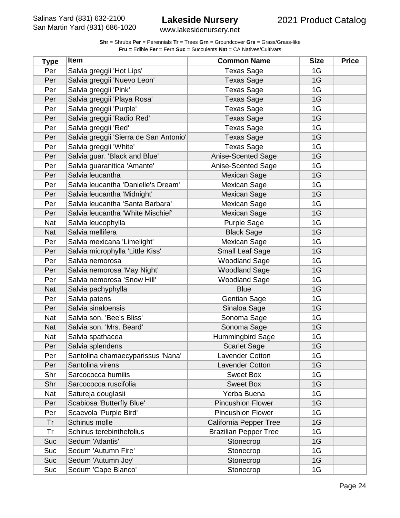www.lakesidenursery.net

| <b>Type</b> | <b>Item</b>                            | <b>Common Name</b>           | <b>Size</b> | <b>Price</b> |
|-------------|----------------------------------------|------------------------------|-------------|--------------|
| Per         | Salvia greggii 'Hot Lips'              | <b>Texas Sage</b>            | 1G          |              |
| Per         | Salvia greggii 'Nuevo Leon'            | <b>Texas Sage</b>            | 1G          |              |
| Per         | Salvia greggii 'Pink'                  | <b>Texas Sage</b>            | 1G          |              |
| Per         | Salvia greggii 'Playa Rosa'            | <b>Texas Sage</b>            | 1G          |              |
| Per         | Salvia greggii 'Purple'                | <b>Texas Sage</b>            | 1G          |              |
| Per         | Salvia greggii 'Radio Red'             | <b>Texas Sage</b>            | 1G          |              |
| Per         | Salvia greggii 'Red'                   | <b>Texas Sage</b>            | 1G          |              |
| Per         | Salvia greggii 'Sierra de San Antonio' | <b>Texas Sage</b>            | 1G          |              |
| Per         | Salvia greggii 'White'                 | <b>Texas Sage</b>            | 1G          |              |
| Per         | Salvia guar. 'Black and Blue'          | Anise-Scented Sage           | 1G          |              |
| Per         | Salvia guaranitica 'Amante'            | Anise-Scented Sage           | 1G          |              |
| Per         | Salvia leucantha                       | <b>Mexican Sage</b>          | 1G          |              |
| Per         | Salvia leucantha 'Danielle's Dream'    | Mexican Sage                 | 1G          |              |
| Per         | Salvia leucantha 'Midnight'            | Mexican Sage                 | 1G          |              |
| Per         | Salvia leucantha 'Santa Barbara'       | <b>Mexican Sage</b>          | 1G          |              |
| Per         | Salvia leucantha 'White Mischief'      | <b>Mexican Sage</b>          | 1G          |              |
| Nat         | Salvia leucophylla                     | Purple Sage                  | 1G          |              |
| <b>Nat</b>  | Salvia mellifera                       | <b>Black Sage</b>            | 1G          |              |
| Per         | Salvia mexicana 'Limelight'            | Mexican Sage                 | 1G          |              |
| Per         | Salvia microphylla 'Little Kiss'       | <b>Small Leaf Sage</b>       | 1G          |              |
| Per         | Salvia nemorosa                        | <b>Woodland Sage</b>         | 1G          |              |
| Per         | Salvia nemorosa 'May Night'            | <b>Woodland Sage</b>         | 1G          |              |
| Per         | Salvia nemorosa 'Snow Hill'            | <b>Woodland Sage</b>         | 1G          |              |
| <b>Nat</b>  | Salvia pachyphylla                     | <b>Blue</b>                  | 1G          |              |
| Per         | Salvia patens                          | <b>Gentian Sage</b>          | 1G          |              |
| Per         | Salvia sinaloensis                     | Sinaloa Sage                 | 1G          |              |
| Nat         | Salvia son. 'Bee's Bliss'              | Sonoma Sage                  | 1G          |              |
| <b>Nat</b>  | Salvia son. 'Mrs. Beard'               | Sonoma Sage                  | 1G          |              |
| <b>Nat</b>  | Salvia spathacea                       | Hummingbird Sage             | 1G          |              |
| Per         | Salvia splendens                       | <b>Scarlet Sage</b>          | 1G          |              |
| Per         | Santolina chamaecyparissus 'Nana'      | <b>Lavender Cotton</b>       | 1G          |              |
| Per         | Santolina virens                       | Lavender Cotton              | 1G          |              |
| Shr         | Sarcococca humilis                     | <b>Sweet Box</b>             | 1G          |              |
| Shr         | Sarcococca ruscifolia                  | <b>Sweet Box</b>             | 1G          |              |
| Nat         | Satureja douglasii                     | Yerba Buena                  | 1G          |              |
| Per         | Scabiosa 'Butterfly Blue'              | <b>Pincushion Flower</b>     | 1G          |              |
| Per         | Scaevola 'Purple Bird'                 | <b>Pincushion Flower</b>     | 1G          |              |
| Tr          | Schinus molle                          | California Pepper Tree       | 1G          |              |
| Tr          | Schinus terebinthefolius               | <b>Brazilian Pepper Tree</b> | 1G          |              |
| Suc         | Sedum 'Atlantis'                       | Stonecrop                    | 1G          |              |
| Suc         | Sedum 'Autumn Fire'                    | Stonecrop                    | 1G          |              |
| Suc         | Sedum 'Autumn Joy'                     | Stonecrop                    | 1G          |              |
| Suc         | Sedum 'Cape Blanco'                    | Stonecrop                    | 1G          |              |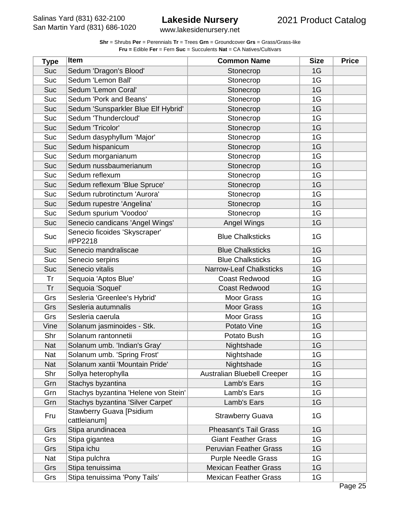www.lakesidenursery.net

| <b>Type</b> | Item                                            | <b>Common Name</b>             | <b>Size</b> | <b>Price</b> |
|-------------|-------------------------------------------------|--------------------------------|-------------|--------------|
| <b>Suc</b>  | Sedum 'Dragon's Blood'                          | Stonecrop                      | 1G          |              |
| Suc         | Sedum 'Lemon Ball'                              | Stonecrop                      | 1G          |              |
| Suc         | Sedum 'Lemon Coral'                             | Stonecrop                      | 1G          |              |
| Suc         | Sedum 'Pork and Beans'                          | Stonecrop                      | 1G          |              |
| Suc         | Sedum 'Sunsparkler Blue Elf Hybrid'             | Stonecrop                      | 1G          |              |
| Suc         | Sedum 'Thundercloud'                            | Stonecrop                      | 1G          |              |
| Suc         | Sedum 'Tricolor'                                | Stonecrop                      | 1G          |              |
| Suc         | Sedum dasyphyllum 'Major'                       | Stonecrop                      | 1G          |              |
| Suc         | Sedum hispanicum                                | Stonecrop                      | 1G          |              |
| Suc         | Sedum morganianum                               | Stonecrop                      | 1G          |              |
| Suc         | Sedum nussbaumerianum                           | Stonecrop                      | 1G          |              |
| Suc         | Sedum reflexum                                  | Stonecrop                      | 1G          |              |
| Suc         | Sedum reflexum 'Blue Spruce'                    | Stonecrop                      | 1G          |              |
| Suc         | Sedum rubrotinctum 'Aurora'                     | Stonecrop                      | 1G          |              |
| Suc         | Sedum rupestre 'Angelina'                       | Stonecrop                      | 1G          |              |
| Suc         | Sedum spurium 'Voodoo'                          | Stonecrop                      | 1G          |              |
| Suc         | Senecio candicans 'Angel Wings'                 | Angel Wings                    | 1G          |              |
| Suc         | Senecio ficoides 'Skyscraper'<br>#PP2218        | <b>Blue Chalksticks</b>        | 1G          |              |
| Suc         | Senecio mandraliscae                            | <b>Blue Chalksticks</b>        | 1G          |              |
| Suc         | Senecio serpins                                 | <b>Blue Chalksticks</b>        | 1G          |              |
| Suc         | Senecio vitalis                                 | <b>Narrow-Leaf Chalksticks</b> | 1G          |              |
| Tr          | Sequoia 'Aptos Blue'                            | <b>Coast Redwood</b>           | 1G          |              |
| Tr          | Sequoia 'Soquel'                                | <b>Coast Redwood</b>           | 1G          |              |
| Grs         | Sesleria 'Greenlee's Hybrid'                    | <b>Moor Grass</b>              | 1G          |              |
| Grs         | Sesleria autumnalis                             | <b>Moor Grass</b>              | 1G          |              |
| Grs         | Sesleria caerula                                | Moor Grass                     | 1G          |              |
| Vine        | Solanum jasminoides - Stk.                      | Potato Vine                    | 1G          |              |
| Shr         | Solanum rantonnetii                             | Potato Bush                    | 1G          |              |
| <b>Nat</b>  | Solanum umb. 'Indian's Gray'                    | Nightshade                     | 1G          |              |
| <b>Nat</b>  | Solanum umb. 'Spring Frost'                     | Nightshade                     | 1G          |              |
| <b>Nat</b>  | Solanum xantii 'Mountain Pride'                 | Nightshade                     | 1G          |              |
| Shr         | Sollya heterophylla                             | Australian Bluebell Creeper    | 1G          |              |
| Grn         | Stachys byzantina                               | Lamb's Ears                    | 1G          |              |
| Grn         | Stachys byzantina 'Helene von Stein'            | Lamb's Ears                    | 1G          |              |
| Grn         | Stachys byzantina 'Silver Carpet'               | Lamb's Ears                    | 1G          |              |
| Fru         | <b>Stawberry Guava [Psidium</b><br>cattleianum] | <b>Strawberry Guava</b>        | 1G          |              |
| Grs         | Stipa arundinacea                               | <b>Pheasant's Tail Grass</b>   | 1G          |              |
| Grs         | Stipa gigantea                                  | <b>Giant Feather Grass</b>     | 1G          |              |
| Grs         | Stipa ichu                                      | <b>Peruvian Feather Grass</b>  | 1G          |              |
| Nat         | Stipa pulchra                                   | <b>Purple Needle Grass</b>     | 1G          |              |
| Grs         | Stipa tenuissima                                | <b>Mexican Feather Grass</b>   | 1G          |              |
| Grs         | Stipa tenuissima 'Pony Tails'                   | <b>Mexican Feather Grass</b>   | 1G          |              |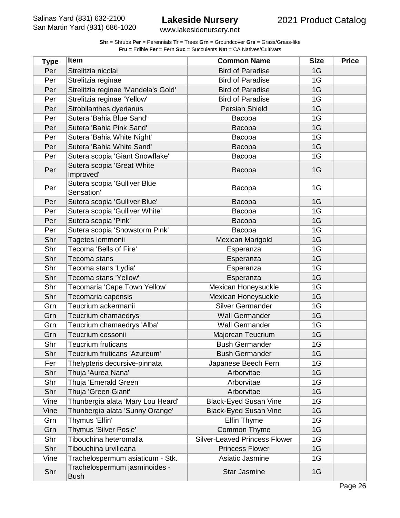www.lakesidenursery.net

| <b>Type</b> | <b>Item</b>                                  | <b>Common Name</b>                   | <b>Size</b> | <b>Price</b> |
|-------------|----------------------------------------------|--------------------------------------|-------------|--------------|
| Per         | Strelitzia nicolai                           | <b>Bird of Paradise</b>              | 1G          |              |
| Per         | Strelitzia reginae                           | <b>Bird of Paradise</b>              | 1G          |              |
| Per         | Strelitzia reginae 'Mandela's Gold'          | <b>Bird of Paradise</b>              | 1G          |              |
| Per         | Strelitzia reginae 'Yellow'                  | <b>Bird of Paradise</b>              | 1G          |              |
| Per         | Strobilanthes dyerianus                      | <b>Persian Shield</b>                | 1G          |              |
| Per         | Sutera 'Bahia Blue Sand'                     | Bacopa                               | 1G          |              |
| Per         | Sutera 'Bahia Pink Sand'                     | Bacopa                               | 1G          |              |
| Per         | Sutera 'Bahia White Night'                   | Bacopa                               | 1G          |              |
| Per         | Sutera 'Bahia White Sand'                    | Bacopa                               | 1G          |              |
| Per         | Sutera scopia 'Giant Snowflake'              | Bacopa                               | 1G          |              |
| Per         | Sutera scopia 'Great White<br>Improved'      | Bacopa                               | 1G          |              |
| Per         | Sutera scopia 'Gulliver Blue<br>Sensation'   | Bacopa                               | 1G          |              |
| Per         | Sutera scopia 'Gulliver Blue'                | Bacopa                               | 1G          |              |
| Per         | Sutera scopia 'Gulliver White'               | Bacopa                               | 1G          |              |
| Per         | Sutera scopia 'Pink'                         | Bacopa                               | 1G          |              |
| Per         | Sutera scopia 'Snowstorm Pink'               | Bacopa                               | 1G          |              |
| Shr         | Tagetes lemmonii                             | <b>Mexican Marigold</b>              | 1G          |              |
| Shr         | Tecoma 'Bells of Fire'                       | Esperanza                            | 1G          |              |
| Shr         | Tecoma stans                                 | Esperanza                            | 1G          |              |
| Shr         | Tecoma stans 'Lydia'                         | Esperanza                            | 1G          |              |
| Shr         | Tecoma stans 'Yellow'                        | Esperanza                            | 1G          |              |
| Shr         | Tecomaria 'Cape Town Yellow'                 | Mexican Honeysuckle                  | 1G          |              |
| Shr         | Tecomaria capensis                           | Mexican Honeysuckle                  | 1G          |              |
| Grn         | Teucrium ackermanii                          | <b>Silver Germander</b>              | 1G          |              |
| Grn         | Teucrium chamaedrys                          | <b>Wall Germander</b>                | 1G          |              |
| Grn         | Teucrium chamaedrys 'Alba'                   | <b>Wall Germander</b>                | 1G          |              |
| Grn         | Teucrium cossonii                            | Majorcan Teucrium                    | 1G          |              |
| Shr         | <b>Teucrium fruticans</b>                    | <b>Bush Germander</b>                | 1G          |              |
| Shr         | Teucrium fruticans 'Azureum'                 | <b>Bush Germander</b>                | 1G          |              |
| Fer         | Thelypteris decursive-pinnata                | Japanese Beech Fern                  | 1G          |              |
| Shr         | Thuja 'Aurea Nana'                           | Arborvitae                           | 1G          |              |
| Shr         | Thuja 'Emerald Green'                        | Arborvitae                           | 1G          |              |
| Shr         | Thuja 'Green Giant'                          | Arborvitae                           | 1G          |              |
| Vine        | Thunbergia alata 'Mary Lou Heard'            | <b>Black-Eyed Susan Vine</b>         | 1G          |              |
| Vine        | Thunbergia alata 'Sunny Orange'              | <b>Black-Eyed Susan Vine</b>         | 1G          |              |
| Grn         | Thymus 'Elfin'                               | <b>Elfin Thyme</b>                   | 1G          |              |
| Grn         | Thymus 'Silver Posie'                        | Common Thyme                         | 1G          |              |
| Shr         | Tibouchina heteromalla                       | <b>Silver-Leaved Princess Flower</b> | 1G          |              |
| Shr         | Tibouchina urvilleana                        | <b>Princess Flower</b>               | 1G          |              |
| Vine        | Trachelospermum asiaticum - Stk.             | Asiatic Jasmine                      | 1G          |              |
| Shr         | Trachelospermum jasminoides -<br><b>Bush</b> | <b>Star Jasmine</b>                  | 1G          |              |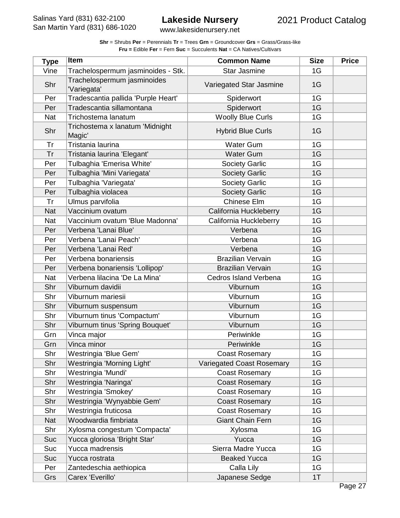| <b>Shr</b> = Shrubs <b>Per</b> = Perennials <b>Tr</b> = Trees <b>Grn</b> = Groundcover <b>Grs</b> = Grass/Grass-like |  |  |  |
|----------------------------------------------------------------------------------------------------------------------|--|--|--|
| <b>Fru = Edible Fer = Fern Suc = Succulents Nat = CA Natives/Cultivars</b>                                           |  |  |  |

| Trachelospermum jasminoides - Stk.<br><b>Star Jasmine</b><br>1G<br>Vine<br>Trachelospermum jasminoides<br>Shr<br>Variegated Star Jasmine<br>1G<br>'Variegata'<br>Tradescantia pallida 'Purple Heart'<br>1G<br>Per<br>Spiderwort<br>Tradescantia sillamontana<br>Spiderwort<br>1G<br>Per<br><b>Woolly Blue Curls</b><br>1G<br><b>Nat</b><br>Trichostema lanatum<br>Trichostema x lanatum 'Midnight<br>Shr<br><b>Hybrid Blue Curls</b><br>1G<br>Magic'<br>Tristania laurina<br><b>Water Gum</b><br>1G<br>Tr<br>1G<br>Tr<br>Tristania laurina 'Elegant'<br><b>Water Gum</b><br>Tulbaghia 'Emerisa White'<br>1G<br>Per<br><b>Society Garlic</b><br>Tulbaghia 'Mini Variegata'<br>1G<br><b>Society Garlic</b><br>Per<br>Tulbaghia 'Variegata'<br><b>Society Garlic</b><br>1G<br>Per<br>Tulbaghia violacea<br><b>Society Garlic</b><br>1G<br>Per<br>Ulmus parvifolia<br>Chinese Elm<br>1G<br>Tr<br>Vaccinium ovatum<br>1G<br><b>Nat</b><br>California Huckleberry<br>Vaccinium ovatum 'Blue Madonna'<br>California Huckleberry<br>1G<br><b>Nat</b><br>Verbena 'Lanai Blue'<br>Verbena<br>1G<br>Per<br>1G<br>Verbena 'Lanai Peach'<br>Verbena<br>Per<br>1G<br>Verbena 'Lanai Red'<br>Verbena<br>Per<br><b>Brazilian Vervain</b><br>1G<br>Verbena bonariensis<br>Per<br><b>Brazilian Vervain</b><br>Verbena bonariensis 'Lollipop'<br>1G<br>Per<br>Verbena lilacina 'De La Mina'<br>1G<br><b>Nat</b><br>Cedros Island Verbena<br>1G<br>Shr<br>Viburnum davidii<br>Viburnum<br>Shr<br>1G<br>Viburnum mariesii<br>Viburnum<br>1G<br>Shr<br>Viburnum<br>Viburnum suspensum<br>Viburnum tinus 'Compactum'<br>Shr<br>Viburnum<br>1G<br>Shr<br>Viburnum tinus 'Spring Bouquet'<br>1G<br>Viburnum<br>Periwinkle<br>1G<br>Grn<br>Vinca major<br>Vinca minor<br>1G<br>Grn<br>Periwinkle<br>Shr<br>Westringia 'Blue Gem'<br>1G<br><b>Coast Rosemary</b><br>Shr<br>1G<br>Westringia 'Morning Light'<br><b>Variegated Coast Rosemary</b><br>1G<br>Shr<br>Westringia 'Mundi'<br><b>Coast Rosemary</b><br>Shr<br>Westringia 'Naringa'<br>1G<br><b>Coast Rosemary</b><br>Shr<br>Westringia 'Smokey'<br>1G<br><b>Coast Rosemary</b><br>Shr<br>Westringia 'Wynyabbie Gem'<br><b>Coast Rosemary</b><br>1G<br>Westringia fruticosa<br>Shr<br><b>Coast Rosemary</b><br>1G<br>Woodwardia fimbriata<br><b>Giant Chain Fern</b><br>1G<br><b>Nat</b><br>Shr<br>Xylosma congestum 'Compacta'<br>1G<br>Xylosma<br>Yucca gloriosa 'Bright Star'<br>Yucca<br>1G<br>Suc<br>Yucca madrensis<br>Sierra Madre Yucca<br>1G<br>Suc<br>1G<br>Suc<br>Yucca rostrata<br><b>Beaked Yucca</b><br>Zantedeschia aethiopica<br>Calla Lily<br>1G<br>Per | <b>Type</b> | <b>Item</b> | <b>Common Name</b> | <b>Size</b> | <b>Price</b> |
|------------------------------------------------------------------------------------------------------------------------------------------------------------------------------------------------------------------------------------------------------------------------------------------------------------------------------------------------------------------------------------------------------------------------------------------------------------------------------------------------------------------------------------------------------------------------------------------------------------------------------------------------------------------------------------------------------------------------------------------------------------------------------------------------------------------------------------------------------------------------------------------------------------------------------------------------------------------------------------------------------------------------------------------------------------------------------------------------------------------------------------------------------------------------------------------------------------------------------------------------------------------------------------------------------------------------------------------------------------------------------------------------------------------------------------------------------------------------------------------------------------------------------------------------------------------------------------------------------------------------------------------------------------------------------------------------------------------------------------------------------------------------------------------------------------------------------------------------------------------------------------------------------------------------------------------------------------------------------------------------------------------------------------------------------------------------------------------------------------------------------------------------------------------------------------------------------------------------------------------------------------------------------------------------------------------------------------------------------------------------------------------------------------------------------------------------------------------------------------------------------------------------------------------------------------------------------------------------------|-------------|-------------|--------------------|-------------|--------------|
|                                                                                                                                                                                                                                                                                                                                                                                                                                                                                                                                                                                                                                                                                                                                                                                                                                                                                                                                                                                                                                                                                                                                                                                                                                                                                                                                                                                                                                                                                                                                                                                                                                                                                                                                                                                                                                                                                                                                                                                                                                                                                                                                                                                                                                                                                                                                                                                                                                                                                                                                                                                                      |             |             |                    |             |              |
|                                                                                                                                                                                                                                                                                                                                                                                                                                                                                                                                                                                                                                                                                                                                                                                                                                                                                                                                                                                                                                                                                                                                                                                                                                                                                                                                                                                                                                                                                                                                                                                                                                                                                                                                                                                                                                                                                                                                                                                                                                                                                                                                                                                                                                                                                                                                                                                                                                                                                                                                                                                                      |             |             |                    |             |              |
|                                                                                                                                                                                                                                                                                                                                                                                                                                                                                                                                                                                                                                                                                                                                                                                                                                                                                                                                                                                                                                                                                                                                                                                                                                                                                                                                                                                                                                                                                                                                                                                                                                                                                                                                                                                                                                                                                                                                                                                                                                                                                                                                                                                                                                                                                                                                                                                                                                                                                                                                                                                                      |             |             |                    |             |              |
|                                                                                                                                                                                                                                                                                                                                                                                                                                                                                                                                                                                                                                                                                                                                                                                                                                                                                                                                                                                                                                                                                                                                                                                                                                                                                                                                                                                                                                                                                                                                                                                                                                                                                                                                                                                                                                                                                                                                                                                                                                                                                                                                                                                                                                                                                                                                                                                                                                                                                                                                                                                                      |             |             |                    |             |              |
|                                                                                                                                                                                                                                                                                                                                                                                                                                                                                                                                                                                                                                                                                                                                                                                                                                                                                                                                                                                                                                                                                                                                                                                                                                                                                                                                                                                                                                                                                                                                                                                                                                                                                                                                                                                                                                                                                                                                                                                                                                                                                                                                                                                                                                                                                                                                                                                                                                                                                                                                                                                                      |             |             |                    |             |              |
|                                                                                                                                                                                                                                                                                                                                                                                                                                                                                                                                                                                                                                                                                                                                                                                                                                                                                                                                                                                                                                                                                                                                                                                                                                                                                                                                                                                                                                                                                                                                                                                                                                                                                                                                                                                                                                                                                                                                                                                                                                                                                                                                                                                                                                                                                                                                                                                                                                                                                                                                                                                                      |             |             |                    |             |              |
|                                                                                                                                                                                                                                                                                                                                                                                                                                                                                                                                                                                                                                                                                                                                                                                                                                                                                                                                                                                                                                                                                                                                                                                                                                                                                                                                                                                                                                                                                                                                                                                                                                                                                                                                                                                                                                                                                                                                                                                                                                                                                                                                                                                                                                                                                                                                                                                                                                                                                                                                                                                                      |             |             |                    |             |              |
|                                                                                                                                                                                                                                                                                                                                                                                                                                                                                                                                                                                                                                                                                                                                                                                                                                                                                                                                                                                                                                                                                                                                                                                                                                                                                                                                                                                                                                                                                                                                                                                                                                                                                                                                                                                                                                                                                                                                                                                                                                                                                                                                                                                                                                                                                                                                                                                                                                                                                                                                                                                                      |             |             |                    |             |              |
|                                                                                                                                                                                                                                                                                                                                                                                                                                                                                                                                                                                                                                                                                                                                                                                                                                                                                                                                                                                                                                                                                                                                                                                                                                                                                                                                                                                                                                                                                                                                                                                                                                                                                                                                                                                                                                                                                                                                                                                                                                                                                                                                                                                                                                                                                                                                                                                                                                                                                                                                                                                                      |             |             |                    |             |              |
|                                                                                                                                                                                                                                                                                                                                                                                                                                                                                                                                                                                                                                                                                                                                                                                                                                                                                                                                                                                                                                                                                                                                                                                                                                                                                                                                                                                                                                                                                                                                                                                                                                                                                                                                                                                                                                                                                                                                                                                                                                                                                                                                                                                                                                                                                                                                                                                                                                                                                                                                                                                                      |             |             |                    |             |              |
|                                                                                                                                                                                                                                                                                                                                                                                                                                                                                                                                                                                                                                                                                                                                                                                                                                                                                                                                                                                                                                                                                                                                                                                                                                                                                                                                                                                                                                                                                                                                                                                                                                                                                                                                                                                                                                                                                                                                                                                                                                                                                                                                                                                                                                                                                                                                                                                                                                                                                                                                                                                                      |             |             |                    |             |              |
|                                                                                                                                                                                                                                                                                                                                                                                                                                                                                                                                                                                                                                                                                                                                                                                                                                                                                                                                                                                                                                                                                                                                                                                                                                                                                                                                                                                                                                                                                                                                                                                                                                                                                                                                                                                                                                                                                                                                                                                                                                                                                                                                                                                                                                                                                                                                                                                                                                                                                                                                                                                                      |             |             |                    |             |              |
|                                                                                                                                                                                                                                                                                                                                                                                                                                                                                                                                                                                                                                                                                                                                                                                                                                                                                                                                                                                                                                                                                                                                                                                                                                                                                                                                                                                                                                                                                                                                                                                                                                                                                                                                                                                                                                                                                                                                                                                                                                                                                                                                                                                                                                                                                                                                                                                                                                                                                                                                                                                                      |             |             |                    |             |              |
|                                                                                                                                                                                                                                                                                                                                                                                                                                                                                                                                                                                                                                                                                                                                                                                                                                                                                                                                                                                                                                                                                                                                                                                                                                                                                                                                                                                                                                                                                                                                                                                                                                                                                                                                                                                                                                                                                                                                                                                                                                                                                                                                                                                                                                                                                                                                                                                                                                                                                                                                                                                                      |             |             |                    |             |              |
|                                                                                                                                                                                                                                                                                                                                                                                                                                                                                                                                                                                                                                                                                                                                                                                                                                                                                                                                                                                                                                                                                                                                                                                                                                                                                                                                                                                                                                                                                                                                                                                                                                                                                                                                                                                                                                                                                                                                                                                                                                                                                                                                                                                                                                                                                                                                                                                                                                                                                                                                                                                                      |             |             |                    |             |              |
|                                                                                                                                                                                                                                                                                                                                                                                                                                                                                                                                                                                                                                                                                                                                                                                                                                                                                                                                                                                                                                                                                                                                                                                                                                                                                                                                                                                                                                                                                                                                                                                                                                                                                                                                                                                                                                                                                                                                                                                                                                                                                                                                                                                                                                                                                                                                                                                                                                                                                                                                                                                                      |             |             |                    |             |              |
|                                                                                                                                                                                                                                                                                                                                                                                                                                                                                                                                                                                                                                                                                                                                                                                                                                                                                                                                                                                                                                                                                                                                                                                                                                                                                                                                                                                                                                                                                                                                                                                                                                                                                                                                                                                                                                                                                                                                                                                                                                                                                                                                                                                                                                                                                                                                                                                                                                                                                                                                                                                                      |             |             |                    |             |              |
|                                                                                                                                                                                                                                                                                                                                                                                                                                                                                                                                                                                                                                                                                                                                                                                                                                                                                                                                                                                                                                                                                                                                                                                                                                                                                                                                                                                                                                                                                                                                                                                                                                                                                                                                                                                                                                                                                                                                                                                                                                                                                                                                                                                                                                                                                                                                                                                                                                                                                                                                                                                                      |             |             |                    |             |              |
|                                                                                                                                                                                                                                                                                                                                                                                                                                                                                                                                                                                                                                                                                                                                                                                                                                                                                                                                                                                                                                                                                                                                                                                                                                                                                                                                                                                                                                                                                                                                                                                                                                                                                                                                                                                                                                                                                                                                                                                                                                                                                                                                                                                                                                                                                                                                                                                                                                                                                                                                                                                                      |             |             |                    |             |              |
|                                                                                                                                                                                                                                                                                                                                                                                                                                                                                                                                                                                                                                                                                                                                                                                                                                                                                                                                                                                                                                                                                                                                                                                                                                                                                                                                                                                                                                                                                                                                                                                                                                                                                                                                                                                                                                                                                                                                                                                                                                                                                                                                                                                                                                                                                                                                                                                                                                                                                                                                                                                                      |             |             |                    |             |              |
|                                                                                                                                                                                                                                                                                                                                                                                                                                                                                                                                                                                                                                                                                                                                                                                                                                                                                                                                                                                                                                                                                                                                                                                                                                                                                                                                                                                                                                                                                                                                                                                                                                                                                                                                                                                                                                                                                                                                                                                                                                                                                                                                                                                                                                                                                                                                                                                                                                                                                                                                                                                                      |             |             |                    |             |              |
|                                                                                                                                                                                                                                                                                                                                                                                                                                                                                                                                                                                                                                                                                                                                                                                                                                                                                                                                                                                                                                                                                                                                                                                                                                                                                                                                                                                                                                                                                                                                                                                                                                                                                                                                                                                                                                                                                                                                                                                                                                                                                                                                                                                                                                                                                                                                                                                                                                                                                                                                                                                                      |             |             |                    |             |              |
|                                                                                                                                                                                                                                                                                                                                                                                                                                                                                                                                                                                                                                                                                                                                                                                                                                                                                                                                                                                                                                                                                                                                                                                                                                                                                                                                                                                                                                                                                                                                                                                                                                                                                                                                                                                                                                                                                                                                                                                                                                                                                                                                                                                                                                                                                                                                                                                                                                                                                                                                                                                                      |             |             |                    |             |              |
|                                                                                                                                                                                                                                                                                                                                                                                                                                                                                                                                                                                                                                                                                                                                                                                                                                                                                                                                                                                                                                                                                                                                                                                                                                                                                                                                                                                                                                                                                                                                                                                                                                                                                                                                                                                                                                                                                                                                                                                                                                                                                                                                                                                                                                                                                                                                                                                                                                                                                                                                                                                                      |             |             |                    |             |              |
|                                                                                                                                                                                                                                                                                                                                                                                                                                                                                                                                                                                                                                                                                                                                                                                                                                                                                                                                                                                                                                                                                                                                                                                                                                                                                                                                                                                                                                                                                                                                                                                                                                                                                                                                                                                                                                                                                                                                                                                                                                                                                                                                                                                                                                                                                                                                                                                                                                                                                                                                                                                                      |             |             |                    |             |              |
|                                                                                                                                                                                                                                                                                                                                                                                                                                                                                                                                                                                                                                                                                                                                                                                                                                                                                                                                                                                                                                                                                                                                                                                                                                                                                                                                                                                                                                                                                                                                                                                                                                                                                                                                                                                                                                                                                                                                                                                                                                                                                                                                                                                                                                                                                                                                                                                                                                                                                                                                                                                                      |             |             |                    |             |              |
|                                                                                                                                                                                                                                                                                                                                                                                                                                                                                                                                                                                                                                                                                                                                                                                                                                                                                                                                                                                                                                                                                                                                                                                                                                                                                                                                                                                                                                                                                                                                                                                                                                                                                                                                                                                                                                                                                                                                                                                                                                                                                                                                                                                                                                                                                                                                                                                                                                                                                                                                                                                                      |             |             |                    |             |              |
|                                                                                                                                                                                                                                                                                                                                                                                                                                                                                                                                                                                                                                                                                                                                                                                                                                                                                                                                                                                                                                                                                                                                                                                                                                                                                                                                                                                                                                                                                                                                                                                                                                                                                                                                                                                                                                                                                                                                                                                                                                                                                                                                                                                                                                                                                                                                                                                                                                                                                                                                                                                                      |             |             |                    |             |              |
|                                                                                                                                                                                                                                                                                                                                                                                                                                                                                                                                                                                                                                                                                                                                                                                                                                                                                                                                                                                                                                                                                                                                                                                                                                                                                                                                                                                                                                                                                                                                                                                                                                                                                                                                                                                                                                                                                                                                                                                                                                                                                                                                                                                                                                                                                                                                                                                                                                                                                                                                                                                                      |             |             |                    |             |              |
|                                                                                                                                                                                                                                                                                                                                                                                                                                                                                                                                                                                                                                                                                                                                                                                                                                                                                                                                                                                                                                                                                                                                                                                                                                                                                                                                                                                                                                                                                                                                                                                                                                                                                                                                                                                                                                                                                                                                                                                                                                                                                                                                                                                                                                                                                                                                                                                                                                                                                                                                                                                                      |             |             |                    |             |              |
|                                                                                                                                                                                                                                                                                                                                                                                                                                                                                                                                                                                                                                                                                                                                                                                                                                                                                                                                                                                                                                                                                                                                                                                                                                                                                                                                                                                                                                                                                                                                                                                                                                                                                                                                                                                                                                                                                                                                                                                                                                                                                                                                                                                                                                                                                                                                                                                                                                                                                                                                                                                                      |             |             |                    |             |              |
|                                                                                                                                                                                                                                                                                                                                                                                                                                                                                                                                                                                                                                                                                                                                                                                                                                                                                                                                                                                                                                                                                                                                                                                                                                                                                                                                                                                                                                                                                                                                                                                                                                                                                                                                                                                                                                                                                                                                                                                                                                                                                                                                                                                                                                                                                                                                                                                                                                                                                                                                                                                                      |             |             |                    |             |              |
|                                                                                                                                                                                                                                                                                                                                                                                                                                                                                                                                                                                                                                                                                                                                                                                                                                                                                                                                                                                                                                                                                                                                                                                                                                                                                                                                                                                                                                                                                                                                                                                                                                                                                                                                                                                                                                                                                                                                                                                                                                                                                                                                                                                                                                                                                                                                                                                                                                                                                                                                                                                                      |             |             |                    |             |              |
|                                                                                                                                                                                                                                                                                                                                                                                                                                                                                                                                                                                                                                                                                                                                                                                                                                                                                                                                                                                                                                                                                                                                                                                                                                                                                                                                                                                                                                                                                                                                                                                                                                                                                                                                                                                                                                                                                                                                                                                                                                                                                                                                                                                                                                                                                                                                                                                                                                                                                                                                                                                                      |             |             |                    |             |              |
|                                                                                                                                                                                                                                                                                                                                                                                                                                                                                                                                                                                                                                                                                                                                                                                                                                                                                                                                                                                                                                                                                                                                                                                                                                                                                                                                                                                                                                                                                                                                                                                                                                                                                                                                                                                                                                                                                                                                                                                                                                                                                                                                                                                                                                                                                                                                                                                                                                                                                                                                                                                                      |             |             |                    |             |              |
|                                                                                                                                                                                                                                                                                                                                                                                                                                                                                                                                                                                                                                                                                                                                                                                                                                                                                                                                                                                                                                                                                                                                                                                                                                                                                                                                                                                                                                                                                                                                                                                                                                                                                                                                                                                                                                                                                                                                                                                                                                                                                                                                                                                                                                                                                                                                                                                                                                                                                                                                                                                                      |             |             |                    |             |              |
|                                                                                                                                                                                                                                                                                                                                                                                                                                                                                                                                                                                                                                                                                                                                                                                                                                                                                                                                                                                                                                                                                                                                                                                                                                                                                                                                                                                                                                                                                                                                                                                                                                                                                                                                                                                                                                                                                                                                                                                                                                                                                                                                                                                                                                                                                                                                                                                                                                                                                                                                                                                                      |             |             |                    |             |              |
|                                                                                                                                                                                                                                                                                                                                                                                                                                                                                                                                                                                                                                                                                                                                                                                                                                                                                                                                                                                                                                                                                                                                                                                                                                                                                                                                                                                                                                                                                                                                                                                                                                                                                                                                                                                                                                                                                                                                                                                                                                                                                                                                                                                                                                                                                                                                                                                                                                                                                                                                                                                                      |             |             |                    |             |              |
|                                                                                                                                                                                                                                                                                                                                                                                                                                                                                                                                                                                                                                                                                                                                                                                                                                                                                                                                                                                                                                                                                                                                                                                                                                                                                                                                                                                                                                                                                                                                                                                                                                                                                                                                                                                                                                                                                                                                                                                                                                                                                                                                                                                                                                                                                                                                                                                                                                                                                                                                                                                                      |             |             |                    |             |              |
|                                                                                                                                                                                                                                                                                                                                                                                                                                                                                                                                                                                                                                                                                                                                                                                                                                                                                                                                                                                                                                                                                                                                                                                                                                                                                                                                                                                                                                                                                                                                                                                                                                                                                                                                                                                                                                                                                                                                                                                                                                                                                                                                                                                                                                                                                                                                                                                                                                                                                                                                                                                                      |             |             |                    |             |              |
|                                                                                                                                                                                                                                                                                                                                                                                                                                                                                                                                                                                                                                                                                                                                                                                                                                                                                                                                                                                                                                                                                                                                                                                                                                                                                                                                                                                                                                                                                                                                                                                                                                                                                                                                                                                                                                                                                                                                                                                                                                                                                                                                                                                                                                                                                                                                                                                                                                                                                                                                                                                                      |             |             |                    |             |              |
| Carex 'Everillo'<br>Grs<br>Japanese Sedge<br>1T                                                                                                                                                                                                                                                                                                                                                                                                                                                                                                                                                                                                                                                                                                                                                                                                                                                                                                                                                                                                                                                                                                                                                                                                                                                                                                                                                                                                                                                                                                                                                                                                                                                                                                                                                                                                                                                                                                                                                                                                                                                                                                                                                                                                                                                                                                                                                                                                                                                                                                                                                      |             |             |                    |             |              |